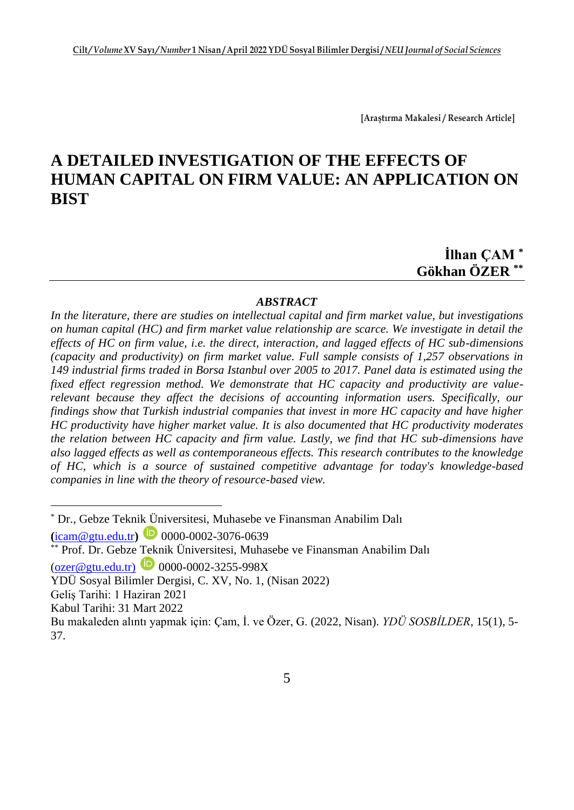**[Araştırma Makalesi / Research Article]**

# **A DETAILED INVESTIGATION OF THE EFFECTS OF HUMAN CAPITAL ON FIRM VALUE: AN APPLICATION ON BIST**

**İlhan ÇAM \* Gökhan ÖZER \*\***

#### *ABSTRACT*

*In the literature, there are studies on intellectual capital and firm market value, but investigations on human capital (HC) and firm market value relationship are scarce. We investigate in detail the effects of HC on firm value, i.e. the direct, interaction, and lagged effects of HC sub-dimensions (capacity and productivity) on firm market value. Full sample consists of 1,257 observations in 149 industrial firms traded in Borsa Istanbul over 2005 to 2017. Panel data is estimated using the fixed effect regression method. We demonstrate that HC capacity and productivity are valuerelevant because they affect the decisions of accounting information users. Specifically, our findings show that Turkish industrial companies that invest in more HC capacity and have higher HC productivity have higher market value. It is also documented that HC productivity moderates the relation between HC capacity and firm value. Lastly, we find that HC sub-dimensions have also lagged effects as well as contemporaneous effects. This research contributes to the knowledge of HC, which is a source of sustained competitive advantage for today's knowledge-based companies in line with the theory of resource-based view.*

**(**[icam@gtu.edu.tr](mailto:icam@gtu.edu.tr)**)** 0000-0002-3076-0639

<sup>\*</sup> Dr., Gebze Teknik Üniversitesi, Muhasebe ve Finansman Anabilim Dalı

**Prof. Dr. Gebze Teknik Üniversitesi, Muhasebe ve Finansman Anabilim Dalı** 

 $(ozer@gtu.edu.tr)$  0000-0002-3255-998X

YDÜ Sosyal Bilimler Dergisi, C. XV, No. 1, (Nisan 2022)

Geliş Tarihi: 1 Haziran 2021

Kabul Tarihi: 31 Mart 2022

Bu makaleden alıntı yapmak için: Çam, İ. ve Özer, G. (2022, Nisan). *YDÜ SOSBİLDER*, 15(1), 5- 37.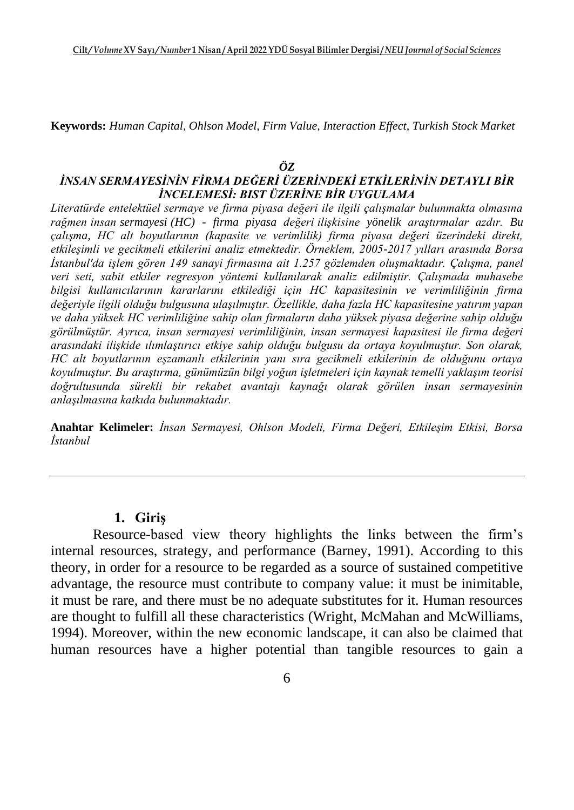**Keywords:** *Human Capital, Ohlson Model, Firm Value, Interaction Effect, Turkish Stock Market*

#### *ÖZ*

#### *İNSAN SERMAYESİNİN FİRMA DEĞERİ ÜZERİNDEKİ ETKİLERİNİN DETAYLI BİR İNCELEMESİ: BIST ÜZERİNE BİR UYGULAMA*

*Literatürde entelektüel sermaye ve firma piyasa değeri ile ilgili çalışmalar bulunmakta olmasına rağmen insan sermayesi (HC) - firma piyasa değeri ilişkisine yönelik araştırmalar azdır. Bu çalışma, HC alt boyutlarının (kapasite ve verimlilik) firma piyasa değeri üzerindeki direkt, etkileşimli ve gecikmeli etkilerini analiz etmektedir. Örneklem, 2005-2017 yılları arasında Borsa İstanbul'da işlem gören 149 sanayi firmasına ait 1.257 gözlemden oluşmaktadır. Çalışma, panel veri seti, sabit etkiler regresyon yöntemi kullanılarak analiz edilmiştir. Çalışmada muhasebe bilgisi kullanıcılarının kararlarını etkilediği için HC kapasitesinin ve verimliliğinin firma değeriyle ilgili olduğu bulgusuna ulaşılmıştır. Özellikle, daha fazla HC kapasitesine yatırım yapan ve daha yüksek HC verimliliğine sahip olan firmaların daha yüksek piyasa değerine sahip olduğu görülmüştür. Ayrıca, insan sermayesi verimliliğinin, insan sermayesi kapasitesi ile firma değeri arasındaki ilişkide ılımlaştırıcı etkiye sahip olduğu bulgusu da ortaya koyulmuştur. Son olarak, HC alt boyutlarının eşzamanlı etkilerinin yanı sıra gecikmeli etkilerinin de olduğunu ortaya koyulmuştur. Bu araştırma, günümüzün bilgi yoğun işletmeleri için kaynak temelli yaklaşım teorisi doğrultusunda sürekli bir rekabet avantajı kaynağı olarak görülen insan sermayesinin anlaşılmasına katkıda bulunmaktadır.*

**Anahtar Kelimeler:** *İnsan Sermayesi, Ohlson Modeli, Firma Değeri, Etkileşim Etkisi, Borsa İstanbul*

#### **1. Giriş**

Resource-based view theory highlights the links between the firm's internal resources, strategy, and performance (Barney, 1991). According to this theory, in order for a resource to be regarded as a source of sustained competitive advantage, the resource must contribute to company value: it must be inimitable, it must be rare, and there must be no adequate substitutes for it. Human resources are thought to fulfill all these characteristics (Wright, McMahan and McWilliams, 1994). Moreover, within the new economic landscape, it can also be claimed that human resources have a higher potential than tangible resources to gain a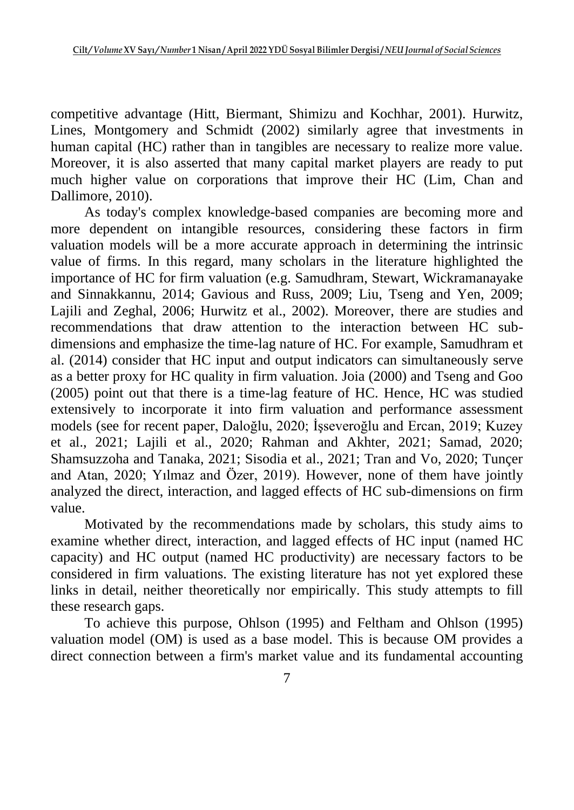competitive advantage (Hitt, Biermant, Shimizu and Kochhar, 2001). Hurwitz, Lines, Montgomery and Schmidt (2002) similarly agree that investments in human capital (HC) rather than in tangibles are necessary to realize more value. Moreover, it is also asserted that many capital market players are ready to put much higher value on corporations that improve their HC (Lim, Chan and Dallimore, 2010).

As today's complex knowledge-based companies are becoming more and more dependent on intangible resources, considering these factors in firm valuation models will be a more accurate approach in determining the intrinsic value of firms. In this regard, many scholars in the literature highlighted the importance of HC for firm valuation (e.g. Samudhram, Stewart, Wickramanayake and Sinnakkannu, 2014; Gavious and Russ, 2009; Liu, Tseng and Yen, 2009; Lajili and Zeghal, 2006; Hurwitz et al., 2002). Moreover, there are studies and recommendations that draw attention to the interaction between HC subdimensions and emphasize the time-lag nature of HC. For example, Samudhram et al. (2014) consider that HC input and output indicators can simultaneously serve as a better proxy for HC quality in firm valuation. Joia (2000) and Tseng and Goo (2005) point out that there is a time-lag feature of HC. Hence, HC was studied extensively to incorporate it into firm valuation and performance assessment models (see for recent paper, Daloğlu, 2020; İşseveroğlu and Ercan, 2019; Kuzey et al., 2021; Lajili et al., 2020; Rahman and Akhter, 2021; Samad, 2020; Shamsuzzoha and Tanaka, 2021; Sisodia et al., 2021; Tran and Vo, 2020; Tunçer and Atan, 2020; Yılmaz and Özer, 2019). However, none of them have jointly analyzed the direct, interaction, and lagged effects of HC sub-dimensions on firm value.

Motivated by the recommendations made by scholars, this study aims to examine whether direct, interaction, and lagged effects of HC input (named HC capacity) and HC output (named HC productivity) are necessary factors to be considered in firm valuations. The existing literature has not yet explored these links in detail, neither theoretically nor empirically. This study attempts to fill these research gaps.

To achieve this purpose, Ohlson (1995) and Feltham and Ohlson (1995) valuation model (OM) is used as a base model. This is because OM provides a direct connection between a firm's market value and its fundamental accounting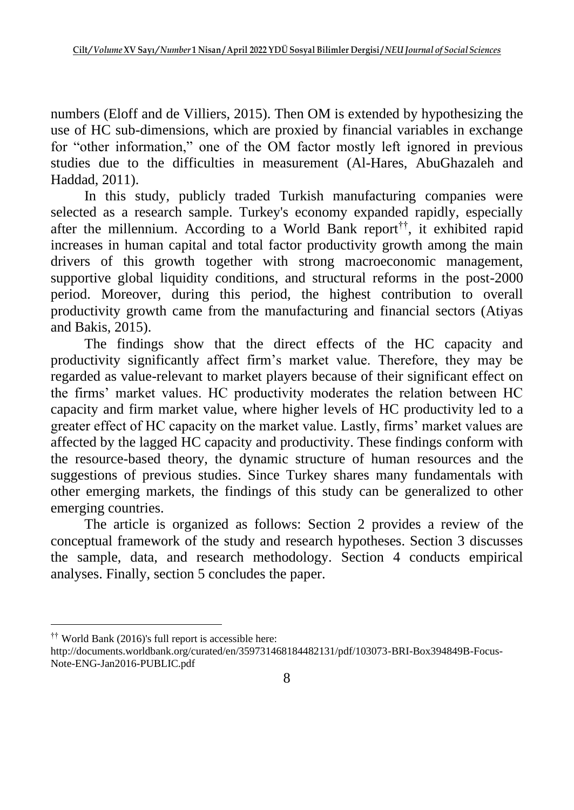numbers (Eloff and de Villiers, 2015). Then OM is extended by hypothesizing the use of HC sub-dimensions, which are proxied by financial variables in exchange for "other information," one of the OM factor mostly left ignored in previous studies due to the difficulties in measurement (Al-Hares, AbuGhazaleh and Haddad, 2011).

In this study, publicly traded Turkish manufacturing companies were selected as a research sample. Turkey's economy expanded rapidly, especially after the millennium. According to a World Bank report<sup>††</sup>, it exhibited rapid increases in human capital and total factor productivity growth among the main drivers of this growth together with strong macroeconomic management, supportive global liquidity conditions, and structural reforms in the post-2000 period. Moreover, during this period, the highest contribution to overall productivity growth came from the manufacturing and financial sectors (Atiyas and Bakis, 2015).

The findings show that the direct effects of the HC capacity and productivity significantly affect firm's market value. Therefore, they may be regarded as value-relevant to market players because of their significant effect on the firms' market values. HC productivity moderates the relation between HC capacity and firm market value, where higher levels of HC productivity led to a greater effect of HC capacity on the market value. Lastly, firms' market values are affected by the lagged HC capacity and productivity. These findings conform with the resource-based theory, the dynamic structure of human resources and the suggestions of previous studies. Since Turkey shares many fundamentals with other emerging markets, the findings of this study can be generalized to other emerging countries.

The article is organized as follows: Section 2 provides a review of the conceptual framework of the study and research hypotheses. Section 3 discusses the sample, data, and research methodology. Section 4 conducts empirical analyses. Finally, section 5 concludes the paper.

<sup>††</sup> World Bank (2016)'s full report is accessible here:

http://documents.worldbank.org/curated/en/359731468184482131/pdf/103073-BRI-Box394849B-Focus-Note-ENG-Jan2016-PUBLIC.pdf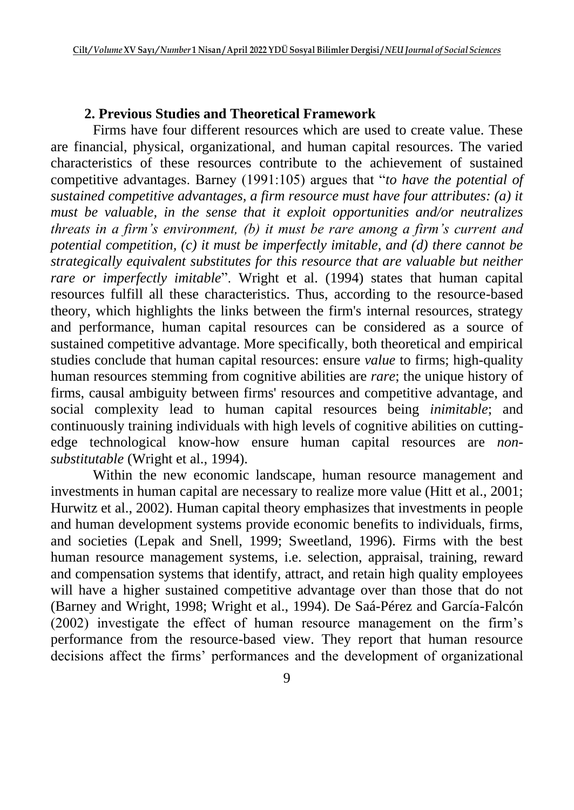### **2. Previous Studies and Theoretical Framework**

Firms have four different resources which are used to create value. These are financial, physical, organizational, and human capital resources. The varied characteristics of these resources contribute to the achievement of sustained competitive advantages. Barney (1991:105) argues that "*to have the potential of sustained competitive advantages, a firm resource must have four attributes: (a) it must be valuable, in the sense that it exploit opportunities and/or neutralizes threats in a firm's environment, (b) it must be rare among a firm's current and potential competition, (c) it must be imperfectly imitable, and (d) there cannot be strategically equivalent substitutes for this resource that are valuable but neither rare or imperfectly imitable*". Wright et al. (1994) states that human capital resources fulfill all these characteristics. Thus, according to the resource-based theory, which highlights the links between the firm's internal resources, strategy and performance, human capital resources can be considered as a source of sustained competitive advantage. More specifically, both theoretical and empirical studies conclude that human capital resources: ensure *value* to firms; high-quality human resources stemming from cognitive abilities are *rare*; the unique history of firms, causal ambiguity between firms' resources and competitive advantage, and social complexity lead to human capital resources being *inimitable*; and continuously training individuals with high levels of cognitive abilities on cuttingedge technological know-how ensure human capital resources are *nonsubstitutable* (Wright et al., 1994).

Within the new economic landscape, human resource management and investments in human capital are necessary to realize more value (Hitt et al., 2001; Hurwitz et al., 2002). Human capital theory emphasizes that investments in people and human development systems provide economic benefits to individuals, firms, and societies (Lepak and Snell, 1999; Sweetland, 1996). Firms with the best human resource management systems, i.e. selection, appraisal, training, reward and compensation systems that identify, attract, and retain high quality employees will have a higher sustained competitive advantage over than those that do not (Barney and Wright, 1998; Wright et al., 1994). De Saá-Pérez and García-Falcón (2002) investigate the effect of human resource management on the firm's performance from the resource-based view. They report that human resource decisions affect the firms' performances and the development of organizational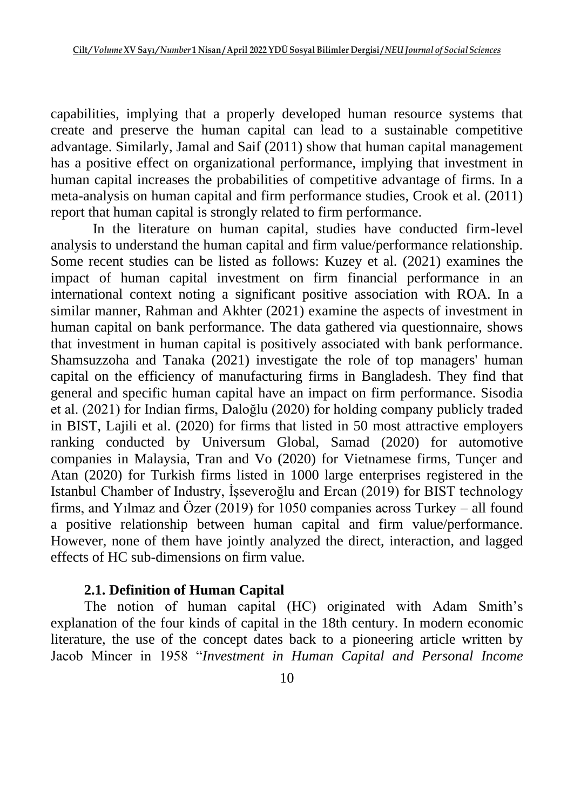capabilities, implying that a properly developed human resource systems that create and preserve the human capital can lead to a sustainable competitive advantage. Similarly, Jamal and Saif (2011) show that human capital management has a positive effect on organizational performance, implying that investment in human capital increases the probabilities of competitive advantage of firms. In a meta-analysis on human capital and firm performance studies, Crook et al. (2011) report that human capital is strongly related to firm performance.

In the literature on human capital, studies have conducted firm-level analysis to understand the human capital and firm value/performance relationship. Some recent studies can be listed as follows: Kuzey et al. (2021) examines the impact of human capital investment on firm financial performance in an international context noting a significant positive association with ROA. In a similar manner, Rahman and Akhter (2021) examine the aspects of investment in human capital on bank performance. The data gathered via questionnaire, shows that investment in human capital is positively associated with bank performance. Shamsuzzoha and Tanaka (2021) investigate the role of top managers' human capital on the efficiency of manufacturing firms in Bangladesh. They find that general and specific human capital have an impact on firm performance. Sisodia et al. (2021) for Indian firms, Daloğlu (2020) for holding company publicly traded in BIST, Lajili et al. (2020) for firms that listed in 50 most attractive employers ranking conducted by Universum Global, Samad (2020) for automotive companies in Malaysia, Tran and Vo (2020) for Vietnamese firms, Tunçer and Atan (2020) for Turkish firms listed in 1000 large enterprises registered in the Istanbul Chamber of Industry, İşseveroğlu and Ercan (2019) for BIST technology firms, and Yılmaz and Özer (2019) for 1050 companies across Turkey – all found a positive relationship between human capital and firm value/performance. However, none of them have jointly analyzed the direct, interaction, and lagged effects of HC sub-dimensions on firm value.

#### **2.1. Definition of Human Capital**

The notion of human capital (HC) originated with Adam Smith's explanation of the four kinds of capital in the 18th century. In modern economic literature, the use of the concept dates back to a pioneering article written by Jacob Mincer in 1958 "*Investment in Human Capital and Personal Income*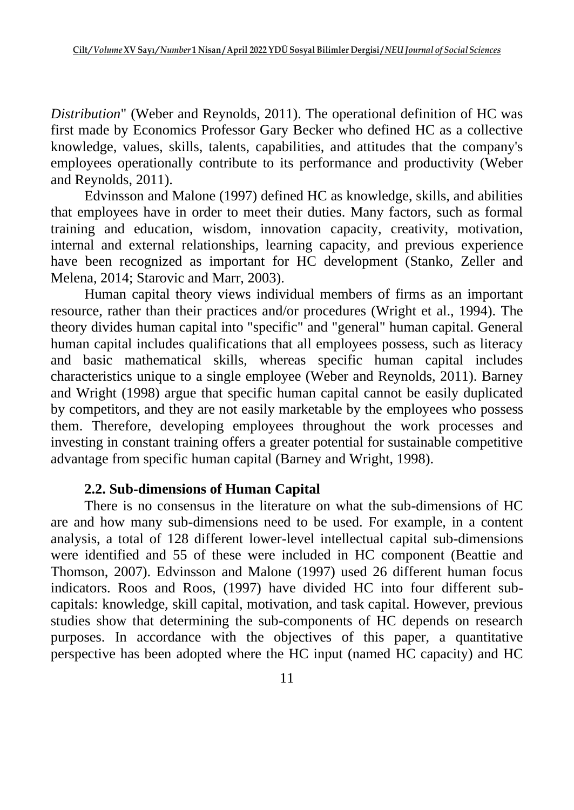*Distribution*" (Weber and Reynolds, 2011). The operational definition of HC was first made by Economics Professor Gary Becker who defined HC as a collective knowledge, values, skills, talents, capabilities, and attitudes that the company's employees operationally contribute to its performance and productivity (Weber and Reynolds, 2011).

Edvinsson and Malone (1997) defined HC as knowledge, skills, and abilities that employees have in order to meet their duties. Many factors, such as formal training and education, wisdom, innovation capacity, creativity, motivation, internal and external relationships, learning capacity, and previous experience have been recognized as important for HC development (Stanko, Zeller and Melena, 2014; Starovic and Marr, 2003).

Human capital theory views individual members of firms as an important resource, rather than their practices and/or procedures (Wright et al., 1994). The theory divides human capital into "specific" and "general" human capital. General human capital includes qualifications that all employees possess, such as literacy and basic mathematical skills, whereas specific human capital includes characteristics unique to a single employee (Weber and Reynolds, 2011). Barney and Wright (1998) argue that specific human capital cannot be easily duplicated by competitors, and they are not easily marketable by the employees who possess them. Therefore, developing employees throughout the work processes and investing in constant training offers a greater potential for sustainable competitive advantage from specific human capital (Barney and Wright, 1998).

#### **2.2. Sub-dimensions of Human Capital**

There is no consensus in the literature on what the sub-dimensions of HC are and how many sub-dimensions need to be used. For example, in a content analysis, a total of 128 different lower-level intellectual capital sub-dimensions were identified and 55 of these were included in HC component (Beattie and Thomson, 2007). Edvinsson and Malone (1997) used 26 different human focus indicators. Roos and Roos, (1997) have divided HC into four different subcapitals: knowledge, skill capital, motivation, and task capital. However, previous studies show that determining the sub-components of HC depends on research purposes. In accordance with the objectives of this paper, a quantitative perspective has been adopted where the HC input (named HC capacity) and HC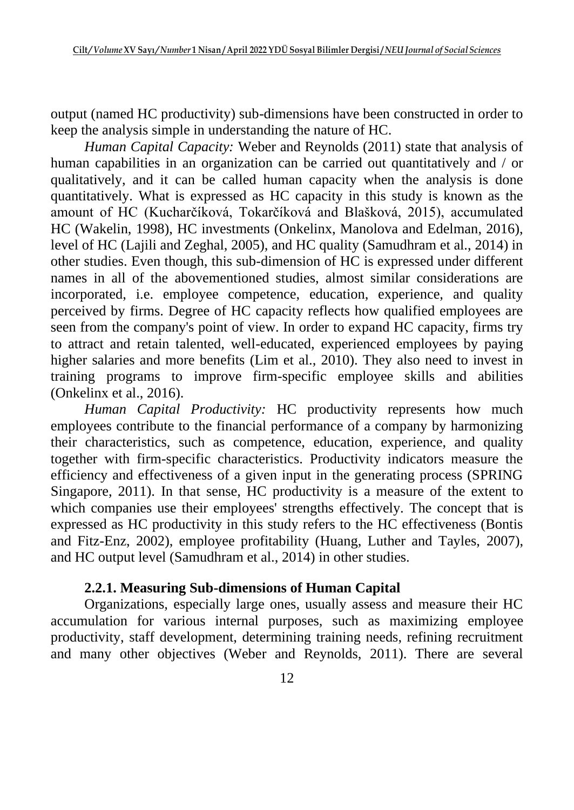output (named HC productivity) sub-dimensions have been constructed in order to keep the analysis simple in understanding the nature of HC.

*Human Capital Capacity:* Weber and Reynolds (2011) state that analysis of human capabilities in an organization can be carried out quantitatively and / or qualitatively, and it can be called human capacity when the analysis is done quantitatively. What is expressed as HC capacity in this study is known as the amount of HC (Kucharčíková, Tokarčíková and Blašková, 2015), accumulated HC (Wakelin, 1998), HC investments (Onkelinx, Manolova and Edelman, 2016), level of HC (Lajili and Zeghal, 2005), and HC quality (Samudhram et al., 2014) in other studies. Even though, this sub-dimension of HC is expressed under different names in all of the abovementioned studies, almost similar considerations are incorporated, i.e. employee competence, education, experience, and quality perceived by firms. Degree of HC capacity reflects how qualified employees are seen from the company's point of view. In order to expand HC capacity, firms try to attract and retain talented, well-educated, experienced employees by paying higher salaries and more benefits (Lim et al., 2010). They also need to invest in training programs to improve firm-specific employee skills and abilities (Onkelinx et al., 2016).

*Human Capital Productivity:* HC productivity represents how much employees contribute to the financial performance of a company by harmonizing their characteristics, such as competence, education, experience, and quality together with firm-specific characteristics. Productivity indicators measure the efficiency and effectiveness of a given input in the generating process (SPRING Singapore, 2011). In that sense, HC productivity is a measure of the extent to which companies use their employees' strengths effectively. The concept that is expressed as HC productivity in this study refers to the HC effectiveness (Bontis and Fitz-Enz, 2002), employee profitability (Huang, Luther and Tayles, 2007), and HC output level (Samudhram et al., 2014) in other studies.

## **2.2.1. Measuring Sub-dimensions of Human Capital**

Organizations, especially large ones, usually assess and measure their HC accumulation for various internal purposes, such as maximizing employee productivity, staff development, determining training needs, refining recruitment and many other objectives (Weber and Reynolds, 2011). There are several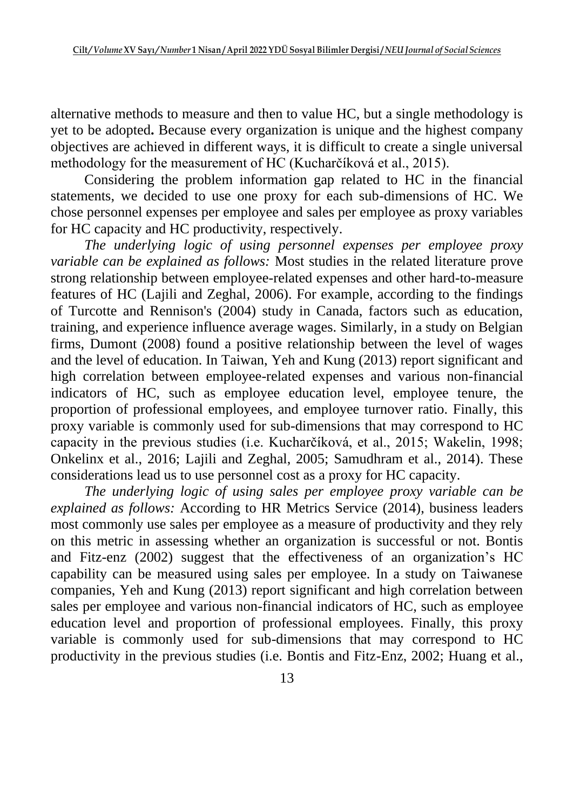alternative methods to measure and then to value HC, but a single methodology is yet to be adopted**.** Because every organization is unique and the highest company objectives are achieved in different ways, it is difficult to create a single universal methodology for the measurement of HC (Kucharčíková et al., 2015).

Considering the problem information gap related to HC in the financial statements, we decided to use one proxy for each sub-dimensions of HC. We chose personnel expenses per employee and sales per employee as proxy variables for HC capacity and HC productivity, respectively.

*The underlying logic of using personnel expenses per employee proxy variable can be explained as follows:* Most studies in the related literature prove strong relationship between employee-related expenses and other hard-to-measure features of HC (Lajili and Zeghal, 2006). For example, according to the findings of Turcotte and Rennison's (2004) study in Canada, factors such as education, training, and experience influence average wages. Similarly, in a study on Belgian firms, Dumont (2008) found a positive relationship between the level of wages and the level of education. In Taiwan, Yeh and Kung (2013) report significant and high correlation between employee-related expenses and various non-financial indicators of HC, such as employee education level, employee tenure, the proportion of professional employees, and employee turnover ratio. Finally, this proxy variable is commonly used for sub-dimensions that may correspond to HC capacity in the previous studies (i.e. Kucharčíková, et al., 2015; Wakelin, 1998; Onkelinx et al., 2016; Lajili and Zeghal, 2005; Samudhram et al., 2014). These considerations lead us to use personnel cost as a proxy for HC capacity.

*The underlying logic of using sales per employee proxy variable can be explained as follows:* According to HR Metrics Service (2014), business leaders most commonly use sales per employee as a measure of productivity and they rely on this metric in assessing whether an organization is successful or not. Bontis and Fitz-enz (2002) suggest that the effectiveness of an organization's HC capability can be measured using sales per employee. In a study on Taiwanese companies, Yeh and Kung (2013) report significant and high correlation between sales per employee and various non-financial indicators of HC, such as employee education level and proportion of professional employees. Finally, this proxy variable is commonly used for sub-dimensions that may correspond to HC productivity in the previous studies (i.e. Bontis and Fitz-Enz, 2002; Huang et al.,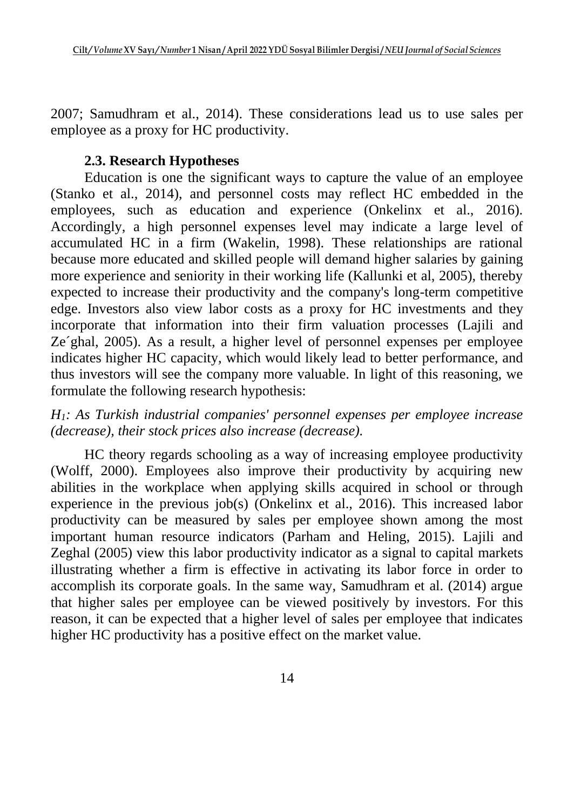2007; Samudhram et al., 2014). These considerations lead us to use sales per employee as a proxy for HC productivity.

## **2.3. Research Hypotheses**

Education is one the significant ways to capture the value of an employee (Stanko et al., 2014), and personnel costs may reflect HC embedded in the employees, such as education and experience (Onkelinx et al., 2016). Accordingly, a high personnel expenses level may indicate a large level of accumulated HC in a firm (Wakelin, 1998). These relationships are rational because more educated and skilled people will demand higher salaries by gaining more experience and seniority in their working life (Kallunki et al, 2005), thereby expected to increase their productivity and the company's long-term competitive edge. Investors also view labor costs as a proxy for HC investments and they incorporate that information into their firm valuation processes (Lajili and Ze´ghal, 2005). As a result, a higher level of personnel expenses per employee indicates higher HC capacity, which would likely lead to better performance, and thus investors will see the company more valuable. In light of this reasoning, we formulate the following research hypothesis:

## *H1: As Turkish industrial companies' personnel expenses per employee increase (decrease), their stock prices also increase (decrease).*

HC theory regards schooling as a way of increasing employee productivity (Wolff, 2000). Employees also improve their productivity by acquiring new abilities in the workplace when applying skills acquired in school or through experience in the previous job(s) (Onkelinx et al., 2016). This increased labor productivity can be measured by sales per employee shown among the most important human resource indicators (Parham and Heling, 2015). Lajili and Zeghal (2005) view this labor productivity indicator as a signal to capital markets illustrating whether a firm is effective in activating its labor force in order to accomplish its corporate goals. In the same way, Samudhram et al. (2014) argue that higher sales per employee can be viewed positively by investors. For this reason, it can be expected that a higher level of sales per employee that indicates higher HC productivity has a positive effect on the market value.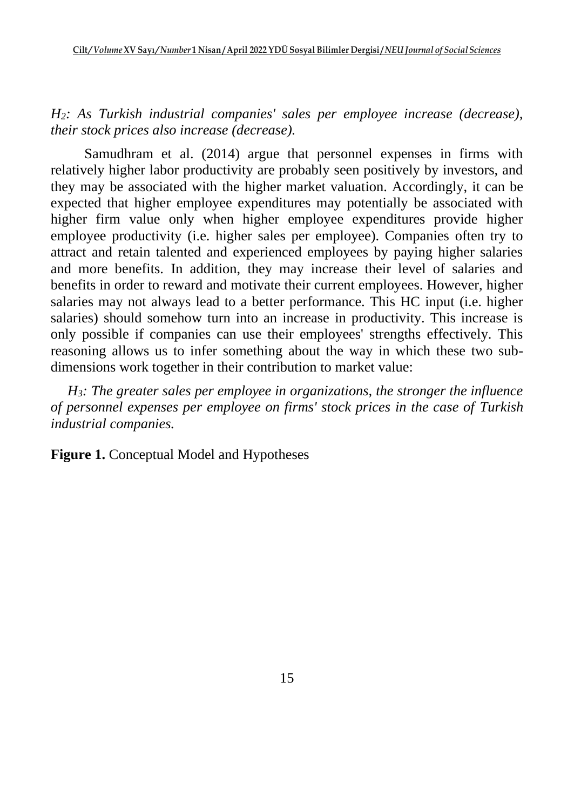*H2: As Turkish industrial companies' sales per employee increase (decrease), their stock prices also increase (decrease).*

Samudhram et al. (2014) argue that personnel expenses in firms with relatively higher labor productivity are probably seen positively by investors, and they may be associated with the higher market valuation. Accordingly, it can be expected that higher employee expenditures may potentially be associated with higher firm value only when higher employee expenditures provide higher employee productivity (i.e. higher sales per employee). Companies often try to attract and retain talented and experienced employees by paying higher salaries and more benefits. In addition, they may increase their level of salaries and benefits in order to reward and motivate their current employees. However, higher salaries may not always lead to a better performance. This HC input (i.e. higher salaries) should somehow turn into an increase in productivity. This increase is only possible if companies can use their employees' strengths effectively. This reasoning allows us to infer something about the way in which these two subdimensions work together in their contribution to market value:

*H3: The greater sales per employee in organizations, the stronger the influence of personnel expenses per employee on firms' stock prices in the case of Turkish industrial companies.*

**Figure 1.** Conceptual Model and Hypotheses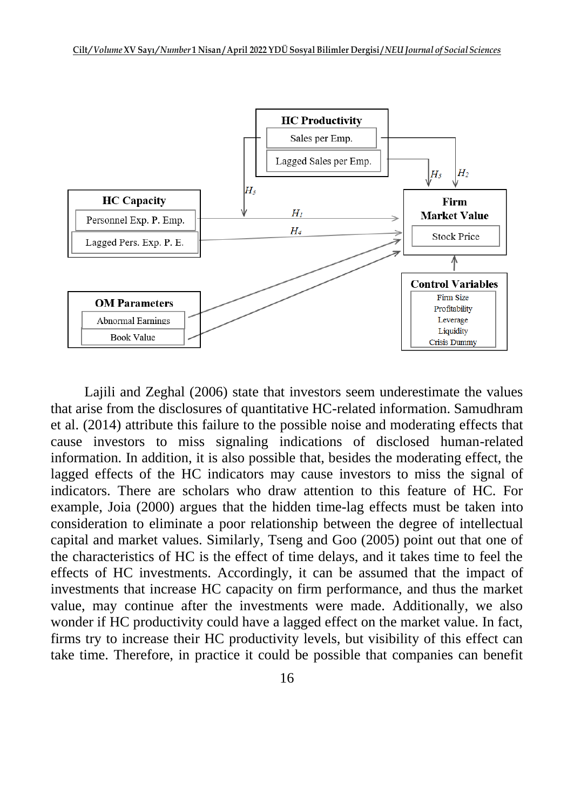

Lajili and Zeghal (2006) state that investors seem underestimate the values that arise from the disclosures of quantitative HC-related information. Samudhram et al. (2014) attribute this failure to the possible noise and moderating effects that cause investors to miss signaling indications of disclosed human-related information. In addition, it is also possible that, besides the moderating effect, the lagged effects of the HC indicators may cause investors to miss the signal of indicators. There are scholars who draw attention to this feature of HC. For example, Joia (2000) argues that the hidden time-lag effects must be taken into consideration to eliminate a poor relationship between the degree of intellectual capital and market values. Similarly, Tseng and Goo (2005) point out that one of the characteristics of HC is the effect of time delays, and it takes time to feel the effects of HC investments. Accordingly, it can be assumed that the impact of investments that increase HC capacity on firm performance, and thus the market value, may continue after the investments were made. Additionally, we also wonder if HC productivity could have a lagged effect on the market value. In fact, firms try to increase their HC productivity levels, but visibility of this effect can take time. Therefore, in practice it could be possible that companies can benefit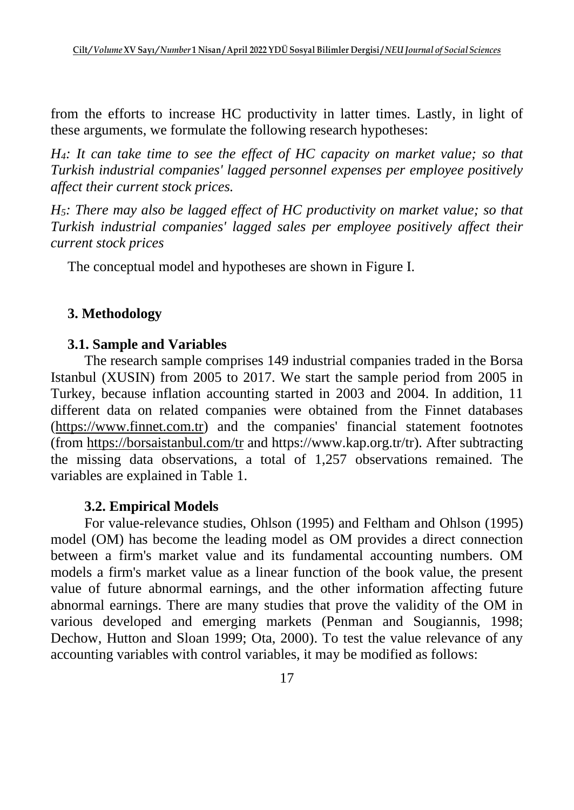from the efforts to increase HC productivity in latter times. Lastly, in light of these arguments, we formulate the following research hypotheses:

*H4: It can take time to see the effect of HC capacity on market value; so that Turkish industrial companies' lagged personnel expenses per employee positively affect their current stock prices.*

*H5: There may also be lagged effect of HC productivity on market value; so that Turkish industrial companies' lagged sales per employee positively affect their current stock prices*

The conceptual model and hypotheses are shown in Figure I.

## **3. Methodology**

## **3.1. Sample and Variables**

The research sample comprises 149 industrial companies traded in the Borsa Istanbul (XUSIN) from 2005 to 2017. We start the sample period from 2005 in Turkey, because inflation accounting started in 2003 and 2004. In addition, 11 different data on related companies were obtained from the Finnet databases [\(https://www.finnet.com.tr\)](https://www.finnet.com.tr/) and the companies' financial statement footnotes (from<https://borsaistanbul.com/tr> and https://www.kap.org.tr/tr). After subtracting the missing data observations, a total of 1,257 observations remained. The variables are explained in Table 1.

## **3.2. Empirical Models**

For value-relevance studies, Ohlson (1995) and Feltham and Ohlson (1995) model (OM) has become the leading model as OM provides a direct connection between a firm's market value and its fundamental accounting numbers. OM models a firm's market value as a linear function of the book value, the present value of future abnormal earnings, and the other information affecting future abnormal earnings. There are many studies that prove the validity of the OM in various developed and emerging markets (Penman and Sougiannis, 1998; Dechow, Hutton and Sloan 1999; Ota, 2000). To test the value relevance of any accounting variables with control variables, it may be modified as follows: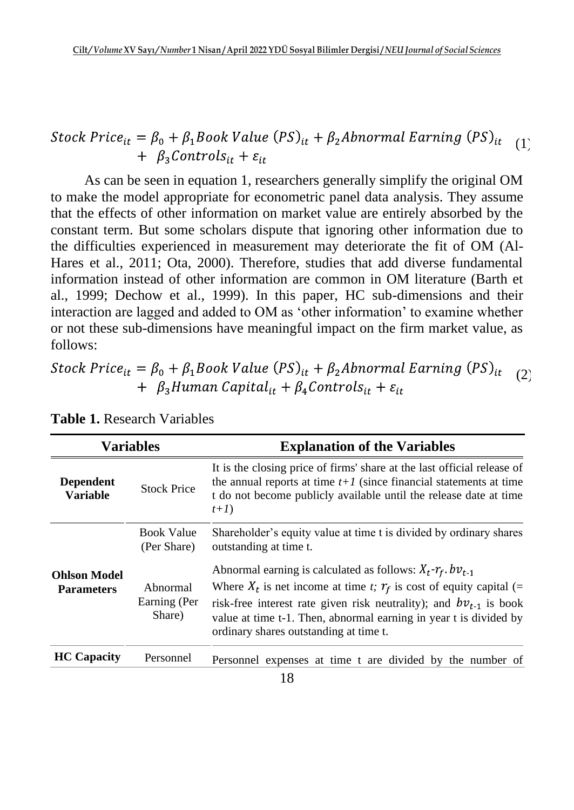#### Stock Price<sub>it</sub> =  $\beta_0 + \beta_1$ Book Value (PS)<sub>it</sub> +  $\beta_2$ Abnormal Earning (PS)<sub>it</sub>  $(1)$  $+ \beta_3$ Controls<sub>it</sub> +  $\varepsilon_{it}$

As can be seen in equation 1, researchers generally simplify the original OM to make the model appropriate for econometric panel data analysis. They assume that the effects of other information on market value are entirely absorbed by the constant term. But some scholars dispute that ignoring other information due to the difficulties experienced in measurement may deteriorate the fit of OM (Al-Hares et al., 2011; Ota, 2000). Therefore, studies that add diverse fundamental information instead of other information are common in OM literature (Barth et al., 1999; Dechow et al., 1999). In this paper, HC sub-dimensions and their interaction are lagged and added to OM as 'other information' to examine whether or not these sub-dimensions have meaningful impact on the firm market value, as follows:

#### Stock Price<sub>it</sub> =  $\beta_0$  +  $\beta_1$ Book Value (PS)<sub>it</sub> +  $\beta_2$ Abnormal Earning (PS)<sub>it</sub> (2) +  $\beta_3$ Human Capital<sub>it</sub> +  $\beta_4$ Controls<sub>it</sub> +  $\varepsilon_{it}$

| <b>Variables</b>                         |                                    | <b>Explanation of the Variables</b>                                                                                                                                                                                                                                                                                                         |  |  |  |  |
|------------------------------------------|------------------------------------|---------------------------------------------------------------------------------------------------------------------------------------------------------------------------------------------------------------------------------------------------------------------------------------------------------------------------------------------|--|--|--|--|
| <b>Dependent</b><br><b>Variable</b>      | <b>Stock Price</b>                 | It is the closing price of firms' share at the last official release of<br>the annual reports at time $t+1$ (since financial statements at time<br>t do not become publicly available until the release date at time<br>$t+I)$                                                                                                              |  |  |  |  |
|                                          | <b>Book Value</b><br>(Per Share)   | Shareholder's equity value at time t is divided by ordinary shares<br>outstanding at time t.                                                                                                                                                                                                                                                |  |  |  |  |
| <b>Ohlson Model</b><br><b>Parameters</b> | Abnormal<br>Earning (Per<br>Share) | Abnormal earning is calculated as follows: $X_t \cdot r_f$ , $bv_{t-1}$<br>Where $X_t$ is net income at time t; $r_f$ is cost of equity capital (=<br>risk-free interest rate given risk neutrality); and $bv_{t-1}$ is book<br>value at time t-1. Then, abnormal earning in year t is divided by<br>ordinary shares outstanding at time t. |  |  |  |  |
| <b>HC</b> Capacity                       | Personnel                          | Personnel expenses at time t are divided by the number of                                                                                                                                                                                                                                                                                   |  |  |  |  |

**Table 1.** Research Variables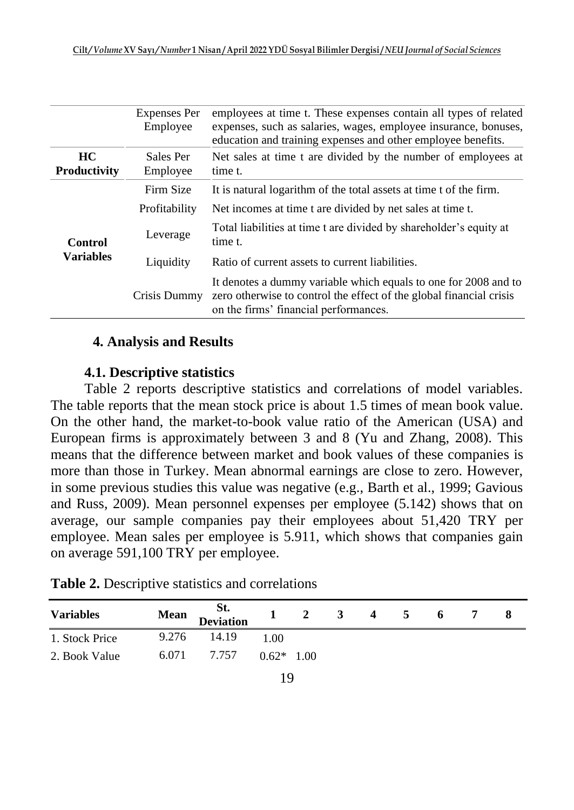|                             | <b>Expenses Per</b><br>Employee | employees at time t. These expenses contain all types of related<br>expenses, such as salaries, wages, employee insurance, bonuses,<br>education and training expenses and other employee benefits. |
|-----------------------------|---------------------------------|-----------------------------------------------------------------------------------------------------------------------------------------------------------------------------------------------------|
| HC.<br><b>Productivity</b>  | Sales Per<br>Employee           | Net sales at time t are divided by the number of employees at<br>time t.                                                                                                                            |
|                             | Firm Size                       | It is natural logarithm of the total assets at time t of the firm.                                                                                                                                  |
| Control<br><b>Variables</b> | Profitability                   | Net incomes at time t are divided by net sales at time t.                                                                                                                                           |
|                             | Leverage                        | Total liabilities at time t are divided by shareholder's equity at<br>time t.                                                                                                                       |
|                             | Liquidity                       | Ratio of current assets to current liabilities.                                                                                                                                                     |
|                             | Crisis Dummy                    | It denotes a dummy variable which equals to one for 2008 and to<br>zero otherwise to control the effect of the global financial crisis<br>on the firms' financial performances.                     |

### **4. Analysis and Results**

### **4.1. Descriptive statistics**

Table 2 reports descriptive statistics and correlations of model variables. The table reports that the mean stock price is about 1.5 times of mean book value. On the other hand, the market-to-book value ratio of the American (USA) and European firms is approximately between 3 and 8 (Yu and Zhang, 2008). This means that the difference between market and book values of these companies is more than those in Turkey. Mean abnormal earnings are close to zero. However, in some previous studies this value was negative (e.g., Barth et al., 1999; Gavious and Russ, 2009). Mean personnel expenses per employee (5.142) shows that on average, our sample companies pay their employees about 51,420 TRY per employee. Mean sales per employee is 5.911, which shows that companies gain on average 591,100 TRY per employee.

| <b>Variables</b> | <b>Mean</b> | <b>Example 1</b><br>St. Deviation |              | $1 \quad 2$ | $3 \t 4 \t 5$ | 6 |  |
|------------------|-------------|-----------------------------------|--------------|-------------|---------------|---|--|
| 1. Stock Price   | 9.276       | 14.19                             | 1.00         |             |               |   |  |
| 2. Book Value    |             | 6.071 7.757                       | $0.62*$ 1.00 |             |               |   |  |

**Table 2.** Descriptive statistics and correlations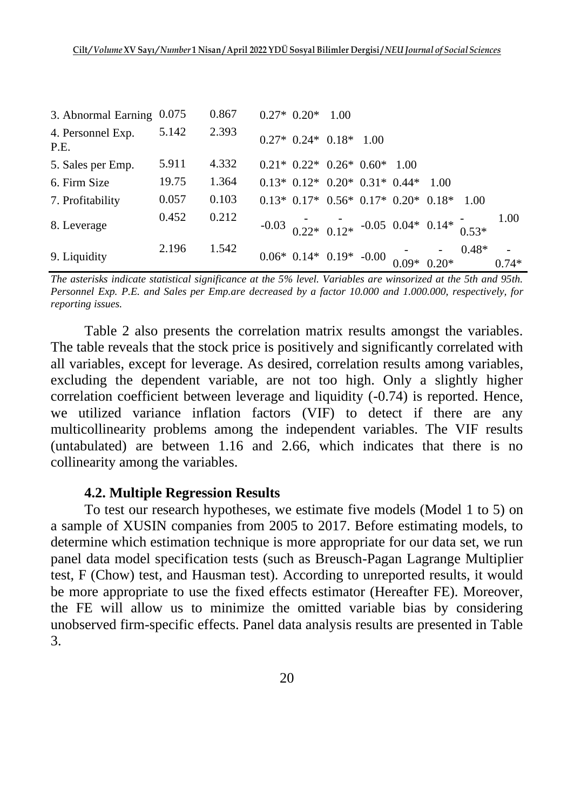| 3. Abnormal Earning 0.075 |       | 0.867 | $0.27* 0.20* 1.00$                                              |  |       |        |      |      |
|---------------------------|-------|-------|-----------------------------------------------------------------|--|-------|--------|------|------|
| 4. Personnel Exp.<br>P.E. | 5.142 | 2.393 | $0.27* 0.24* 0.18* 1.00$                                        |  |       |        |      |      |
| 5. Sales per Emp.         | 5.911 | 4.332 | $0.21*0.22*0.26*0.60*$                                          |  | -1.00 |        |      |      |
| 6. Firm Size              | 19.75 | 1.364 | $0.13*$ $0.12*$ $0.20*$ $0.31*$ $0.44*$                         |  |       | - 1.00 |      |      |
| 7. Profitability          | 0.057 | 0.103 | $0.13*$ $0.17*$ $0.56*$ $0.17*$ $0.20*$ $0.18*$                 |  |       |        | 1.00 |      |
| 8. Leverage               | 0.452 | 0.212 | $-0.03$ 0.22* 0.12* $-0.05$ 0.04* 0.14* 0.53*                   |  |       |        |      | 1.00 |
| 9. Liquidity              | 2.196 | 1.542 | $0.06*$ $0.14*$ $0.19*$ $-0.00$ $0.09*$ $0.20*$ $0.48*$ $0.74*$ |  |       |        |      |      |

*The asterisks indicate statistical significance at the 5% level. Variables are winsorized at the 5th and 95th. Personnel Exp. P.E. and Sales per Emp.are decreased by a factor 10.000 and 1.000.000, respectively, for reporting issues.*

Table 2 also presents the correlation matrix results amongst the variables. The table reveals that the stock price is positively and significantly correlated with all variables, except for leverage. As desired, correlation results among variables, excluding the dependent variable, are not too high. Only a slightly higher correlation coefficient between leverage and liquidity (-0.74) is reported. Hence, we utilized variance inflation factors (VIF) to detect if there are any multicollinearity problems among the independent variables. The VIF results (untabulated) are between 1.16 and 2.66, which indicates that there is no collinearity among the variables.

#### **4.2. Multiple Regression Results**

To test our research hypotheses, we estimate five models (Model 1 to 5) on a sample of XUSIN companies from 2005 to 2017. Before estimating models, to determine which estimation technique is more appropriate for our data set, we run panel data model specification tests (such as Breusch-Pagan Lagrange Multiplier test, F (Chow) test, and Hausman test). According to unreported results, it would be more appropriate to use the fixed effects estimator (Hereafter FE). Moreover, the FE will allow us to minimize the omitted variable bias by considering unobserved firm-specific effects. Panel data analysis results are presented in Table 3.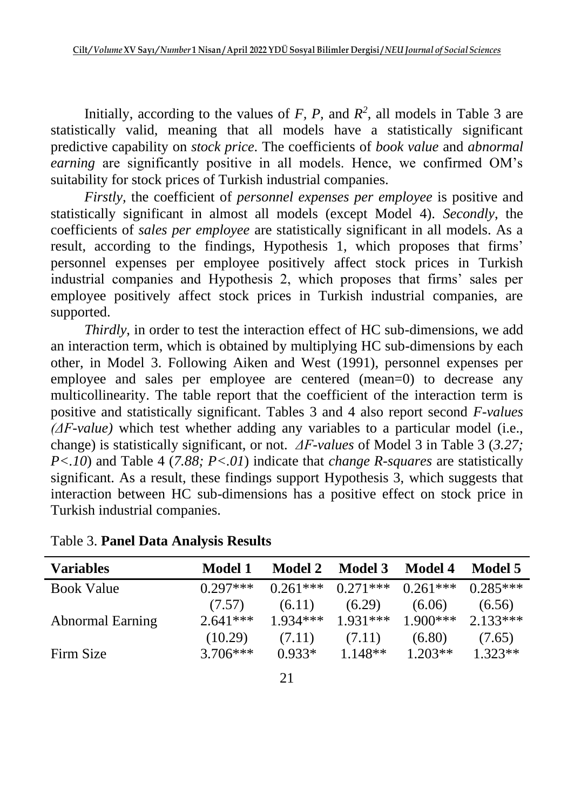Initially, according to the values of  $F$ ,  $P$ , and  $R^2$ , all models in Table 3 are statistically valid, meaning that all models have a statistically significant predictive capability on *stock price*. The coefficients of *book value* and *abnormal earning* are significantly positive in all models. Hence, we confirmed OM's suitability for stock prices of Turkish industrial companies.

*Firstly,* the coefficient of *personnel expenses per employee* is positive and statistically significant in almost all models (except Model 4). *Secondly*, the coefficients of *sales per employee* are statistically significant in all models. As a result, according to the findings, Hypothesis 1, which proposes that firms' personnel expenses per employee positively affect stock prices in Turkish industrial companies and Hypothesis 2, which proposes that firms' sales per employee positively affect stock prices in Turkish industrial companies, are supported.

*Thirdly*, in order to test the interaction effect of HC sub-dimensions, we add an interaction term, which is obtained by multiplying HC sub-dimensions by each other, in Model 3. Following Aiken and West (1991), personnel expenses per employee and sales per employee are centered (mean=0) to decrease any multicollinearity. The table report that the coefficient of the interaction term is positive and statistically significant. Tables 3 and 4 also report second *F-values (ΔF-value)* which test whether adding any variables to a particular model (i.e., change) is statistically significant, or not. *ΔF-values* of Model 3 in Table 3 (*3.27; P<.10*) and Table 4 (*7.88; P<.01*) indicate that *change R-squares* are statistically significant. As a result, these findings support Hypothesis 3, which suggests that interaction between HC sub-dimensions has a positive effect on stock price in Turkish industrial companies.

| Variables               | Model 1    | <b>Model 2</b> | <b>Model 3</b> | <b>Model 4</b> | Model 5    |
|-------------------------|------------|----------------|----------------|----------------|------------|
| <b>Book Value</b>       | $0.297***$ | $0.261***$     | $0.271***$     | $0.261***$     | $0.285***$ |
|                         | (7.57)     | (6.11)         | (6.29)         | (6.06)         | (6.56)     |
| <b>Abnormal Earning</b> | $2.641***$ | $1934***$      | $1.931***$     | $1.900$ ***    | $2.133***$ |
|                         | (10.29)    | (7.11)         | (7.11)         | (6.80)         | (7.65)     |
| Firm Size               | $3.706***$ | $0.933*$       | $1.148**$      | $1.203**$      | $1.323**$  |

Table 3. **Panel Data Analysis Results**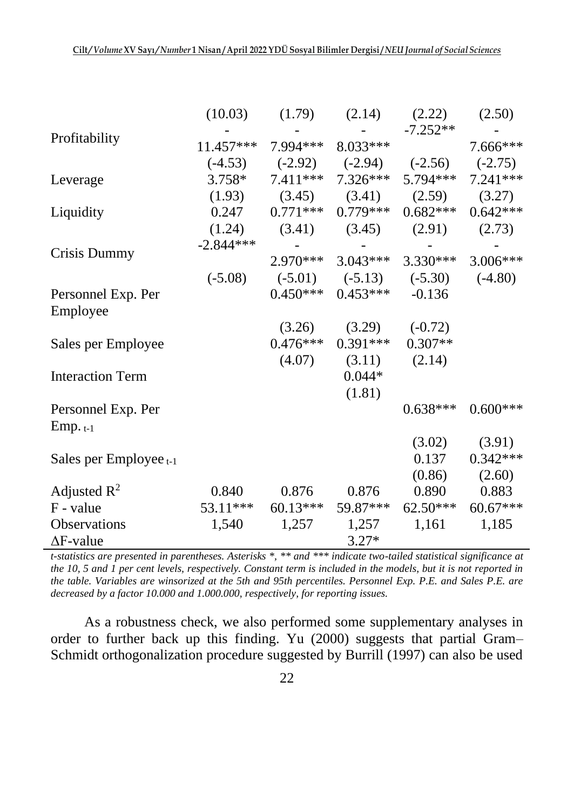|                             | (10.03)     | (1.79)                           | (2.14)                         | (2.22)                                       | (2.50)     |
|-----------------------------|-------------|----------------------------------|--------------------------------|----------------------------------------------|------------|
|                             |             |                                  |                                | $-7.252**$                                   |            |
| Profitability               |             | $11.457***$ 7.994*** 8.033***    |                                |                                              | 7.666***   |
|                             |             |                                  |                                | $(-4.53)$ $(-2.92)$ $(-2.94)$ $(-2.56)$      | $(-2.75)$  |
| Leverage                    | $3.758*$    |                                  |                                | $7.411***$ $7.326***$ $5.794***$             | 7.241***   |
|                             |             | $(1.93)$ $(3.45)$                |                                | $(3.41)$ $(2.59)$                            | (3.27)     |
| Liquidity                   |             | $0.247$ $0.771***$ $0.779***$    |                                | $0.682***$                                   | $0.642***$ |
|                             |             |                                  |                                | $(1.24)$ $(3.41)$ $(3.45)$ $(2.91)$ $(2.73)$ |            |
|                             | $-2.844***$ |                                  |                                |                                              |            |
| Crisis Dummy                |             |                                  | $2.970***$ 3.043***            | $3.330***$                                   | $3.006***$ |
|                             | $(-5.08)$   |                                  |                                | $(-5.01)$ $(-5.13)$ $(-5.30)$ $(-4.80)$      |            |
| Personnel Exp. Per          |             |                                  | $0.450***$ $0.453***$ $-0.136$ |                                              |            |
| Employee                    |             |                                  |                                |                                              |            |
|                             |             |                                  | $(3.26)$ $(3.29)$ $(-0.72)$    |                                              |            |
| Sales per Employee          |             |                                  | $0.476***$ $0.391***$          | $0.307**$                                    |            |
|                             |             | (4.07)                           |                                | $(3.11)$ $(2.14)$                            |            |
| <b>Interaction Term</b>     |             |                                  | $0.044*$                       |                                              |            |
|                             |             |                                  | (1.81)                         |                                              |            |
| Personnel Exp. Per          |             |                                  |                                | $0.638***$                                   | $0.600***$ |
| $Emp. t-1$                  |             |                                  |                                |                                              |            |
|                             |             |                                  |                                | (3.02)                                       | (3.91)     |
| Sales per Employee $_{t-1}$ |             |                                  |                                | 0.137                                        | $0.342***$ |
|                             |             |                                  |                                | (0.86)                                       | (2.60)     |
| Adjusted $R^2$              | 0.840       | 0.876                            | 0.876                          | 0.890                                        | 0.883      |
| F - value                   |             | $53.11***$ $60.13***$ $59.87***$ |                                | $62.50***$                                   | 60.67***   |
| Observations                | 1,540       | 1,257                            | 1,257                          | 1,161                                        | 1,185      |
| $\Delta F$ -value           |             |                                  | $3.27*$                        |                                              |            |

*t-statistics are presented in parentheses. Asterisks \*, \*\* and \*\*\* indicate two-tailed statistical significance at the 10, 5 and 1 per cent levels, respectively. Constant term is included in the models, but it is not reported in the table. Variables are winsorized at the 5th and 95th percentiles. Personnel Exp. P.E. and Sales P.E. are decreased by a factor 10.000 and 1.000.000, respectively, for reporting issues.* 

As a robustness check, we also performed some supplementary analyses in order to further back up this finding. Yu (2000) suggests that partial Gram– Schmidt orthogonalization procedure suggested by Burrill (1997) can also be used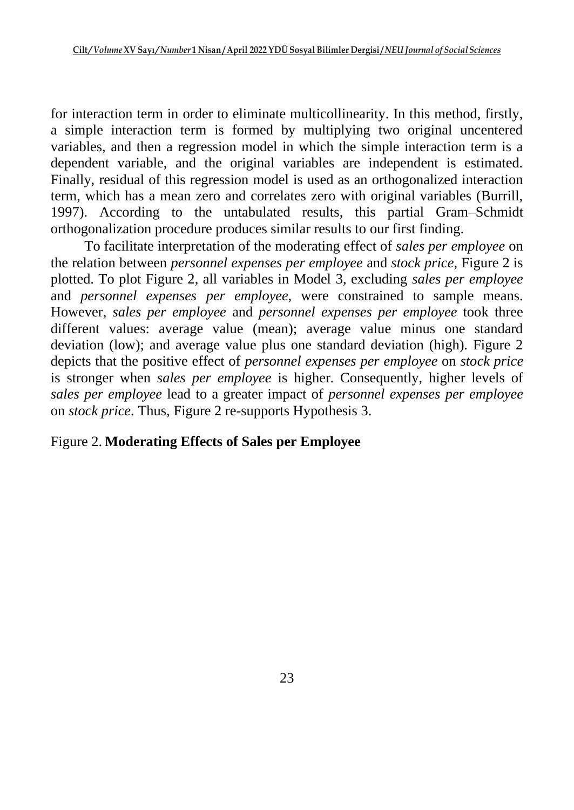for interaction term in order to eliminate multicollinearity. In this method, firstly, a simple interaction term is formed by multiplying two original uncentered variables, and then a regression model in which the simple interaction term is a dependent variable, and the original variables are independent is estimated. Finally, residual of this regression model is used as an orthogonalized interaction term, which has a mean zero and correlates zero with original variables (Burrill, 1997). According to the untabulated results, this partial Gram–Schmidt orthogonalization procedure produces similar results to our first finding.

To facilitate interpretation of the moderating effect of *sales per employee* on the relation between *personnel expenses per employee* and *stock price*, Figure 2 is plotted. To plot Figure 2, all variables in Model 3, excluding *sales per employee* and *personnel expenses per employee*, were constrained to sample means. However, *sales per employee* and *personnel expenses per employee* took three different values: average value (mean); average value minus one standard deviation (low); and average value plus one standard deviation (high). Figure 2 depicts that the positive effect of *personnel expenses per employee* on *stock price* is stronger when *sales per employee* is higher. Consequently, higher levels of *sales per employee* lead to a greater impact of *personnel expenses per employee* on *stock price*. Thus, Figure 2 re-supports Hypothesis 3.

## Figure 2. **Moderating Effects of Sales per Employee**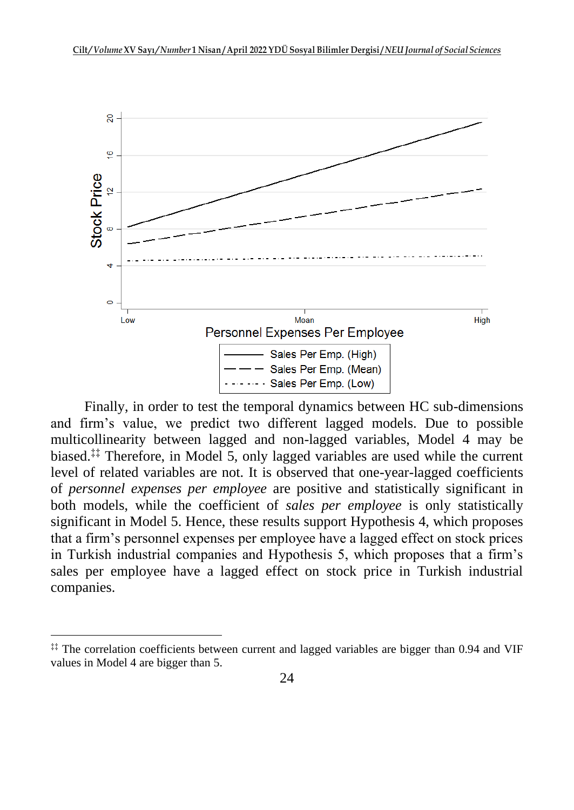

Finally, in order to test the temporal dynamics between HC sub-dimensions and firm's value, we predict two different lagged models. Due to possible multicollinearity between lagged and non-lagged variables, Model 4 may be biased.<sup>‡‡</sup> Therefore, in Model 5, only lagged variables are used while the current level of related variables are not. It is observed that one-year-lagged coefficients of *personnel expenses per employee* are positive and statistically significant in both models, while the coefficient of *sales per employee* is only statistically significant in Model 5. Hence, these results support Hypothesis 4, which proposes that a firm's personnel expenses per employee have a lagged effect on stock prices in Turkish industrial companies and Hypothesis 5, which proposes that a firm's sales per employee have a lagged effect on stock price in Turkish industrial companies.

<sup>‡‡</sup> The correlation coefficients between current and lagged variables are bigger than 0.94 and VIF values in Model 4 are bigger than 5.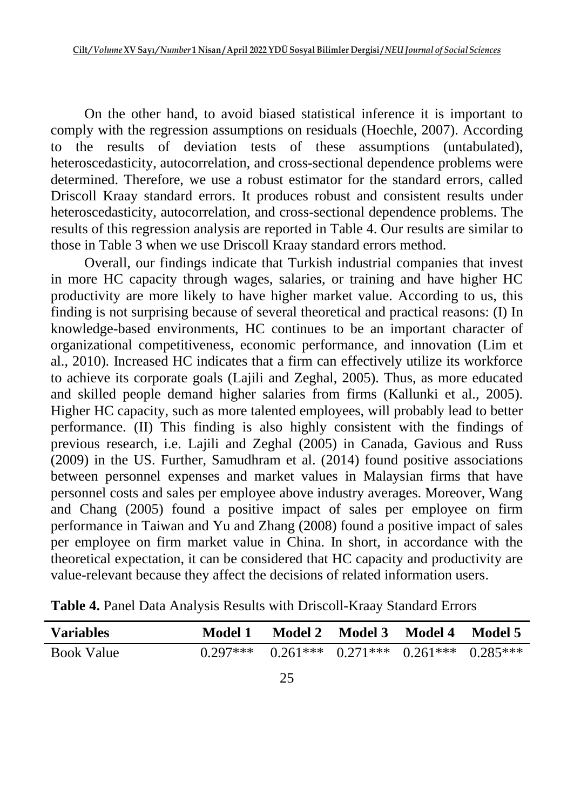On the other hand, to avoid biased statistical inference it is important to comply with the regression assumptions on residuals (Hoechle, 2007). According to the results of deviation tests of these assumptions (untabulated), heteroscedasticity, autocorrelation, and cross-sectional dependence problems were determined. Therefore, we use a robust estimator for the standard errors, called Driscoll Kraay standard errors. It produces robust and consistent results under heteroscedasticity, autocorrelation, and cross-sectional dependence problems. The results of this regression analysis are reported in Table 4. Our results are similar to those in Table 3 when we use Driscoll Kraay standard errors method.

Overall, our findings indicate that Turkish industrial companies that invest in more HC capacity through wages, salaries, or training and have higher HC productivity are more likely to have higher market value. According to us, this finding is not surprising because of several theoretical and practical reasons: (I) In knowledge-based environments, HC continues to be an important character of organizational competitiveness, economic performance, and innovation (Lim et al., 2010). Increased HC indicates that a firm can effectively utilize its workforce to achieve its corporate goals (Lajili and Zeghal, 2005). Thus, as more educated and skilled people demand higher salaries from firms (Kallunki et al., 2005). Higher HC capacity, such as more talented employees, will probably lead to better performance. (II) This finding is also highly consistent with the findings of previous research, i.e. Lajili and Zeghal (2005) in Canada, Gavious and Russ (2009) in the US. Further, Samudhram et al. (2014) found positive associations between personnel expenses and market values in Malaysian firms that have personnel costs and sales per employee above industry averages. Moreover, Wang and Chang (2005) found a positive impact of sales per employee on firm performance in Taiwan and Yu and Zhang (2008) found a positive impact of sales per employee on firm market value in China. In short, in accordance with the theoretical expectation, it can be considered that HC capacity and productivity are value-relevant because they affect the decisions of related information users.

| <b>Variables</b>  | Model 1                                                | Model 2 Model 3 Model 4 Model 5 |  |
|-------------------|--------------------------------------------------------|---------------------------------|--|
| <b>Book Value</b> | $0.297***$ $0.261***$ $0.271***$ $0.261***$ $0.285***$ |                                 |  |

**Table 4.** Panel Data Analysis Results with Driscoll-Kraay Standard Errors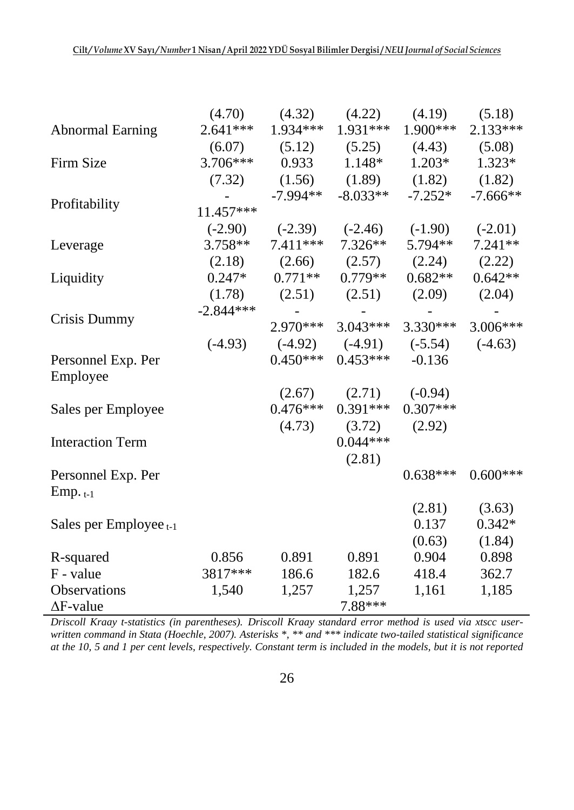|                         | (4.70)      | (4.32)     | (4.22)                      | (4.19)                        | (5.18)     |
|-------------------------|-------------|------------|-----------------------------|-------------------------------|------------|
| <b>Abnormal Earning</b> | $2.641***$  | $1.934***$ | $1.931***$                  | $1.900***$                    | $2.133***$ |
|                         | (6.07)      |            |                             | $(5.12)$ $(5.25)$ $(4.43)$    | (5.08)     |
| Firm Size               | $3.706***$  | 0.933      | $1.148*$                    | $1.203*$                      | $1.323*$   |
|                         | (7.32)      |            | $(1.56)$ $(1.89)$ $(1.82)$  |                               | (1.82)     |
|                         |             | $-7.994**$ | $-8.033**$                  | $-7.252*$                     | $-7.666**$ |
| Profitability           | $11.457***$ |            |                             |                               |            |
|                         | $(-2.90)$   | $(-2.39)$  | $(-2.46)$                   | $(-1.90)$                     | $(-2.01)$  |
| Leverage                | $3.758**$   | $7.411***$ | $7.326**$                   | $5.794**$                     | $7.241**$  |
|                         | (2.18)      |            | $(2.66)$ $(2.57)$           | (2.24)                        | (2.22)     |
| Liquidity               | $0.247*$    | $0.771**$  | $0.779**$                   | $0.682**$                     | $0.642**$  |
|                         | (1.78)      |            | $(2.51)$ $(2.51)$           | (2.09)                        | (2.04)     |
|                         | $-2.844***$ |            |                             |                               |            |
| Crisis Dummy            |             | $2.970***$ | $3.043***$                  | $3.330***$                    | $3.006***$ |
|                         | $(-4.93)$   |            |                             | $(-4.92)$ $(-4.91)$ $(-5.54)$ | $(-4.63)$  |
| Personnel Exp. Per      |             | $0.450***$ | $0.453***$                  | $-0.136$                      |            |
| Employee                |             |            |                             |                               |            |
|                         |             |            | $(2.67)$ $(2.71)$ $(-0.94)$ |                               |            |
| Sales per Employee      |             | $0.476***$ | $0.391***$                  | $0.307***$                    |            |
|                         |             | (4.73)     | (3.72)                      | (2.92)                        |            |
| <b>Interaction Term</b> |             |            | $0.044***$                  |                               |            |
|                         |             |            | (2.81)                      |                               |            |
| Personnel Exp. Per      |             |            |                             | $0.638***$                    | $0.600***$ |
| $Emp. t-1$              |             |            |                             |                               |            |
|                         |             |            |                             | (2.81)                        | (3.63)     |
| Sales per Employee t-1  |             |            |                             | 0.137                         | $0.342*$   |
|                         |             |            |                             | (0.63)                        | (1.84)     |
| R-squared               | 0.856       | 0.891      | 0.891                       | 0.904                         | 0.898      |
| F - value               | 3817***     | 186.6      | 182.6                       | 418.4                         | 362.7      |
| Observations            | 1,540       | 1,257      | 1,257                       | 1,161                         | 1,185      |
| $\Delta$ F-value        |             |            | 7.88***                     |                               |            |

*Driscoll Kraay t-statistics (in parentheses). Driscoll Kraay standard error method is used via xtscc userwritten command in Stata (Hoechle, 2007). Asterisks \*, \*\* and \*\*\* indicate two-tailed statistical significance at the 10, 5 and 1 per cent levels, respectively. Constant term is included in the models, but it is not reported*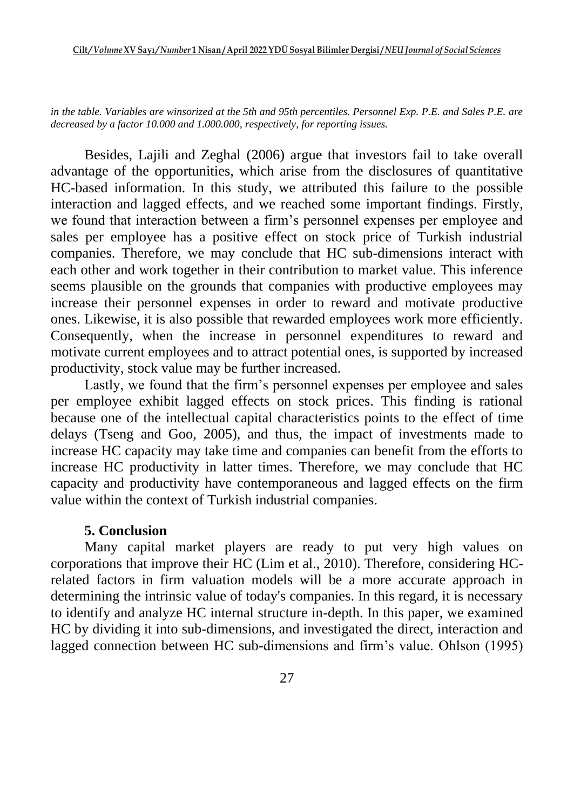*in the table. Variables are winsorized at the 5th and 95th percentiles. Personnel Exp. P.E. and Sales P.E. are decreased by a factor 10.000 and 1.000.000, respectively, for reporting issues.* 

Besides, Lajili and Zeghal (2006) argue that investors fail to take overall advantage of the opportunities, which arise from the disclosures of quantitative HC-based information. In this study, we attributed this failure to the possible interaction and lagged effects, and we reached some important findings. Firstly, we found that interaction between a firm's personnel expenses per employee and sales per employee has a positive effect on stock price of Turkish industrial companies. Therefore, we may conclude that HC sub-dimensions interact with each other and work together in their contribution to market value. This inference seems plausible on the grounds that companies with productive employees may increase their personnel expenses in order to reward and motivate productive ones. Likewise, it is also possible that rewarded employees work more efficiently. Consequently, when the increase in personnel expenditures to reward and motivate current employees and to attract potential ones, is supported by increased productivity, stock value may be further increased.

Lastly, we found that the firm's personnel expenses per employee and sales per employee exhibit lagged effects on stock prices. This finding is rational because one of the intellectual capital characteristics points to the effect of time delays (Tseng and Goo, 2005), and thus, the impact of investments made to increase HC capacity may take time and companies can benefit from the efforts to increase HC productivity in latter times. Therefore, we may conclude that HC capacity and productivity have contemporaneous and lagged effects on the firm value within the context of Turkish industrial companies.

#### **5. Conclusion**

Many capital market players are ready to put very high values on corporations that improve their HC (Lim et al., 2010). Therefore, considering HCrelated factors in firm valuation models will be a more accurate approach in determining the intrinsic value of today's companies. In this regard, it is necessary to identify and analyze HC internal structure in-depth. In this paper, we examined HC by dividing it into sub-dimensions, and investigated the direct, interaction and lagged connection between HC sub-dimensions and firm's value. Ohlson (1995)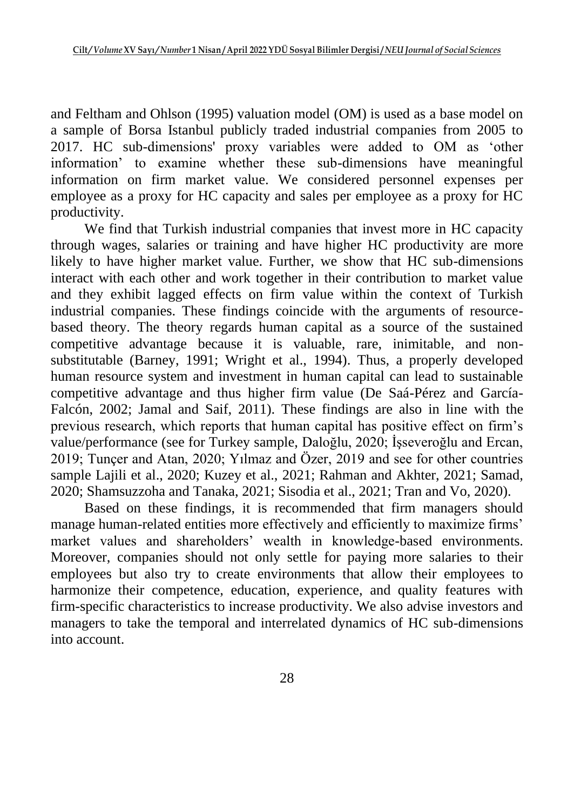and Feltham and Ohlson (1995) valuation model (OM) is used as a base model on a sample of Borsa Istanbul publicly traded industrial companies from 2005 to 2017. HC sub-dimensions' proxy variables were added to OM as 'other information' to examine whether these sub-dimensions have meaningful information on firm market value. We considered personnel expenses per employee as a proxy for HC capacity and sales per employee as a proxy for HC productivity.

We find that Turkish industrial companies that invest more in HC capacity through wages, salaries or training and have higher HC productivity are more likely to have higher market value. Further, we show that HC sub-dimensions interact with each other and work together in their contribution to market value and they exhibit lagged effects on firm value within the context of Turkish industrial companies. These findings coincide with the arguments of resourcebased theory. The theory regards human capital as a source of the sustained competitive advantage because it is valuable, rare, inimitable, and nonsubstitutable (Barney, 1991; Wright et al., 1994). Thus, a properly developed human resource system and investment in human capital can lead to sustainable competitive advantage and thus higher firm value (De Saá-Pérez and García-Falcón, 2002; Jamal and Saif, 2011). These findings are also in line with the previous research, which reports that human capital has positive effect on firm's value/performance (see for Turkey sample, Daloğlu, 2020; İşseveroğlu and Ercan, 2019; Tunçer and Atan, 2020; Yılmaz and Özer, 2019 and see for other countries sample Lajili et al., 2020; Kuzey et al., 2021; Rahman and Akhter, 2021; Samad, 2020; Shamsuzzoha and Tanaka, 2021; Sisodia et al., 2021; Tran and Vo, 2020).

Based on these findings, it is recommended that firm managers should manage human-related entities more effectively and efficiently to maximize firms' market values and shareholders' wealth in knowledge-based environments. Moreover, companies should not only settle for paying more salaries to their employees but also try to create environments that allow their employees to harmonize their competence, education, experience, and quality features with firm-specific characteristics to increase productivity. We also advise investors and managers to take the temporal and interrelated dynamics of HC sub-dimensions into account.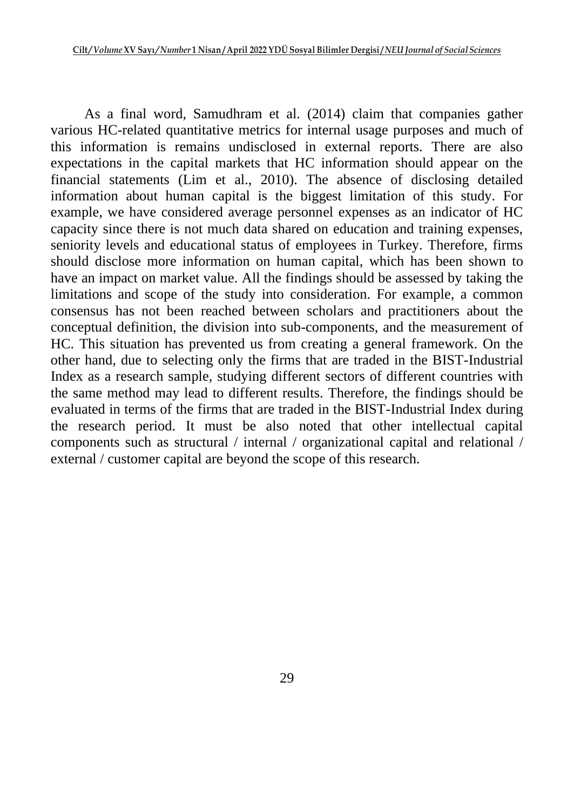As a final word, Samudhram et al. (2014) claim that companies gather various HC-related quantitative metrics for internal usage purposes and much of this information is remains undisclosed in external reports. There are also expectations in the capital markets that HC information should appear on the financial statements (Lim et al., 2010). The absence of disclosing detailed information about human capital is the biggest limitation of this study. For example, we have considered average personnel expenses as an indicator of HC capacity since there is not much data shared on education and training expenses, seniority levels and educational status of employees in Turkey. Therefore, firms should disclose more information on human capital, which has been shown to have an impact on market value. All the findings should be assessed by taking the limitations and scope of the study into consideration. For example, a common consensus has not been reached between scholars and practitioners about the conceptual definition, the division into sub-components, and the measurement of HC. This situation has prevented us from creating a general framework. On the other hand, due to selecting only the firms that are traded in the BIST-Industrial Index as a research sample, studying different sectors of different countries with the same method may lead to different results. Therefore, the findings should be evaluated in terms of the firms that are traded in the BIST-Industrial Index during the research period. It must be also noted that other intellectual capital components such as structural / internal / organizational capital and relational / external / customer capital are beyond the scope of this research.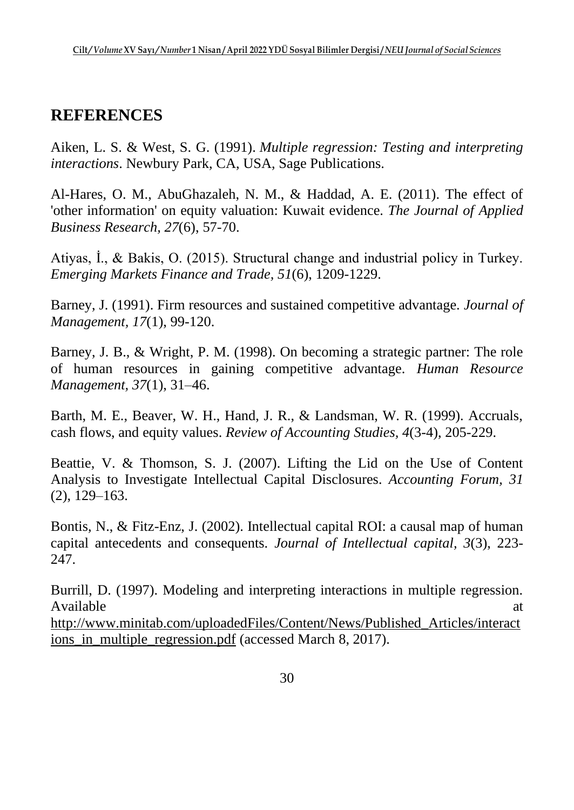# **REFERENCES**

Aiken, L. S. & West, S. G. (1991). *Multiple regression: Testing and interpreting interactions*. Newbury Park, CA, USA, Sage Publications.

Al-Hares, O. M., AbuGhazaleh, N. M., & Haddad, A. E. (2011). The effect of 'other information' on equity valuation: Kuwait evidence. *The Journal of Applied Business Research, 27*(6), 57-70.

Atiyas, İ., & Bakis, O. (2015). Structural change and industrial policy in Turkey. *Emerging Markets Finance and Trade, 51*(6), 1209-1229.

Barney, J. (1991). Firm resources and sustained competitive advantage. *Journal of Management, 17*(1), 99-120.

Barney, J. B., & Wright, P. M. (1998). On becoming a strategic partner: The role of human resources in gaining competitive advantage. *Human Resource Management, 37*(1), 31–46.

Barth, M. E., Beaver, W. H., Hand, J. R., & Landsman, W. R. (1999). Accruals, cash flows, and equity values. *Review of Accounting Studies, 4*(3-4), 205-229.

Beattie, V. & Thomson, S. J. (2007). Lifting the Lid on the Use of Content Analysis to Investigate Intellectual Capital Disclosures. *Accounting Forum, 31* (2), 129–163.

Bontis, N., & Fitz-Enz, J. (2002). Intellectual capital ROI: a causal map of human capital antecedents and consequents. *Journal of Intellectual capital, 3*(3), 223- 247.

Burrill, D. (1997). Modeling and interpreting interactions in multiple regression. Available at a state of  $\alpha$  at a state of  $\alpha$  at a state of  $\alpha$  at a state of  $\alpha$  at a state of  $\alpha$  at a state of  $\alpha$  at a state of  $\alpha$  at a state of  $\alpha$  at a state of  $\alpha$  at a state of  $\alpha$  at a state of  $\alpha$  at

[http://www.minitab.com/uploadedFiles/Content/News/Published\\_Articles/interact](http://www.minitab.com/uploadedFiles/Content/News/Published_Articles/interactions_in_multiple_regression.pdf) [ions\\_in\\_multiple\\_regression.pdf](http://www.minitab.com/uploadedFiles/Content/News/Published_Articles/interactions_in_multiple_regression.pdf) (accessed March 8, 2017).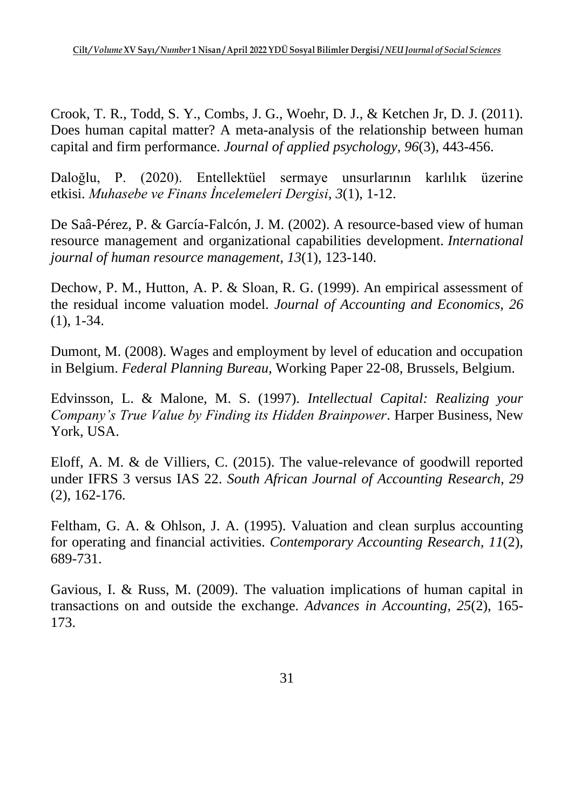Crook, T. R., Todd, S. Y., Combs, J. G., Woehr, D. J., & Ketchen Jr, D. J. (2011). Does human capital matter? A meta-analysis of the relationship between human capital and firm performance. *Journal of applied psychology*, *96*(3), 443-456.

Daloğlu, P. (2020). Entellektüel sermaye unsurlarının karlılık üzerine etkisi. *Muhasebe ve Finans İncelemeleri Dergisi*, *3*(1), 1-12.

De Saâ-Pérez, P. & García-Falcón, J. M. (2002). A resource-based view of human resource management and organizational capabilities development. *International journal of human resource management*, *13*(1), 123-140.

Dechow, P. M., Hutton, A. P. & Sloan, R. G. (1999). An empirical assessment of the residual income valuation model. *Journal of Accounting and Economics, 26* (1), 1-34.

Dumont, M. (2008). Wages and employment by level of education and occupation in Belgium. *Federal Planning Bureau*, Working Paper 22-08, Brussels, Belgium.

Edvinsson, L. & Malone, M. S. (1997). *Intellectual Capital: Realizing your Company's True Value by Finding its Hidden Brainpower*. Harper Business, New York, USA.

Eloff, A. M. & de Villiers, C. (2015). The value-relevance of goodwill reported under IFRS 3 versus IAS 22. *South African Journal of Accounting Research, 29* (2), 162-176.

Feltham, G. A. & Ohlson, J. A. (1995). Valuation and clean surplus accounting for operating and financial activities. *Contemporary Accounting Research, 11*(2), 689-731.

Gavious, I. & Russ, M. (2009). The valuation implications of human capital in transactions on and outside the exchange. *Advances in Accounting, 25*(2), 165- 173.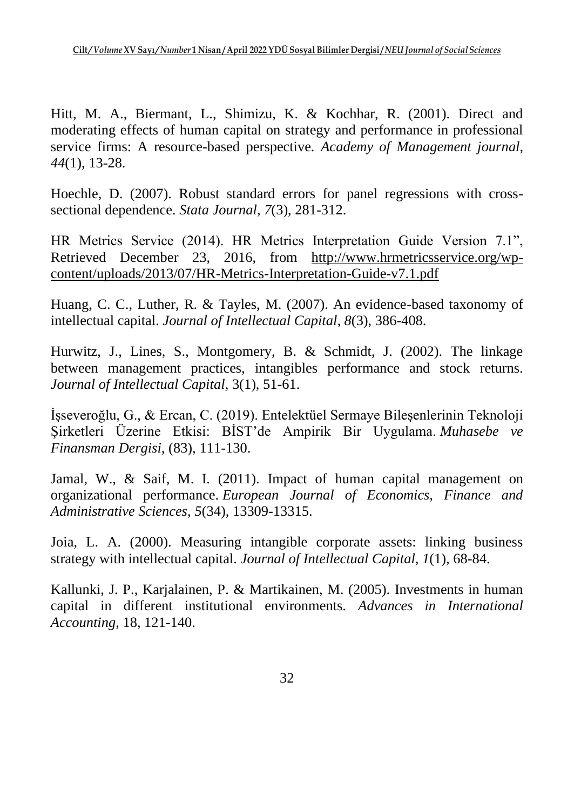Hitt, M. A., Biermant, L., Shimizu, K. & Kochhar, R. (2001). Direct and moderating effects of human capital on strategy and performance in professional service firms: A resource-based perspective. *Academy of Management journal, 44*(1), 13-28.

Hoechle, D. (2007). Robust standard errors for panel regressions with crosssectional dependence. *Stata Journal*, *7*(3), 281-312.

HR Metrics Service (2014). HR Metrics Interpretation Guide Version 7.1", Retrieved December 23, 2016, from [http://www.hrmetricsservice.org/wp](http://www.hrmetricsservice.org/wp-content/uploads/2013/07/HR-Metrics-Interpretation-Guide-v7.1.pdf)[content/uploads/2013/07/HR-Metrics-Interpretation-Guide-v7.1.pdf](http://www.hrmetricsservice.org/wp-content/uploads/2013/07/HR-Metrics-Interpretation-Guide-v7.1.pdf)

Huang, C. C., Luther, R. & Tayles, M. (2007). An evidence-based taxonomy of intellectual capital. *Journal of Intellectual Capital*, *8*(3), 386-408.

Hurwitz, J., Lines, S., Montgomery, B. & Schmidt, J. (2002). The linkage between management practices, intangibles performance and stock returns. *Journal of Intellectual Capital,* 3(1), 51-61.

İşseveroğlu, G., & Ercan, C. (2019). Entelektüel Sermaye Bileşenlerinin Teknoloji Şirketleri Üzerine Etkisi: BİST'de Ampirik Bir Uygulama. *Muhasebe ve Finansman Dergisi*, (83), 111-130.

Jamal, W., & Saif, M. I. (2011). Impact of human capital management on organizational performance. *European Journal of Economics, Finance and Administrative Sciences*, *5*(34), 13309-13315.

Joia, L. A. (2000). Measuring intangible corporate assets: linking business strategy with intellectual capital. *Journal of Intellectual Capital*, *1*(1), 68-84.

Kallunki, J. P., Karjalainen, P. & Martikainen, M. (2005). Investments in human capital in different institutional environments. *Advances in International Accounting*, 18, 121-140.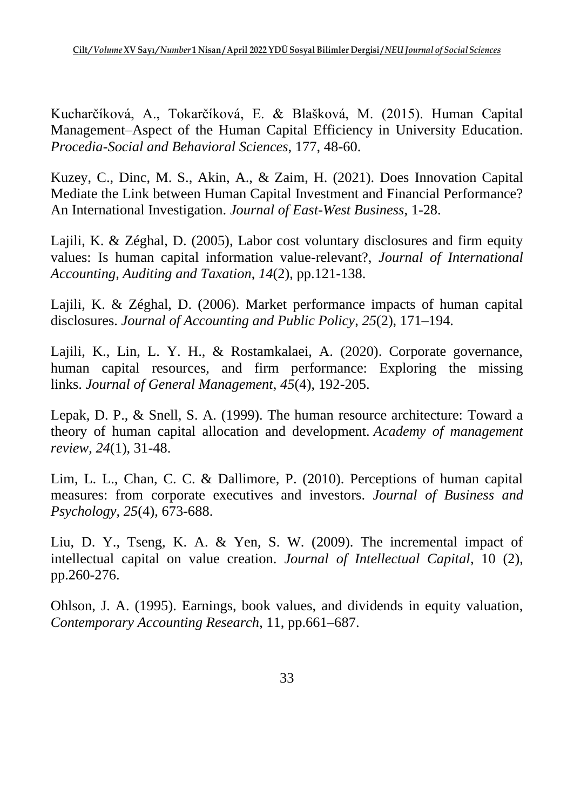Kucharčíková, A., Tokarčíková, E. & Blašková, M. (2015). Human Capital Management–Aspect of the Human Capital Efficiency in University Education. *Procedia-Social and Behavioral Sciences*, 177, 48-60.

Kuzey, C., Dinc, M. S., Akin, A., & Zaim, H. (2021). Does Innovation Capital Mediate the Link between Human Capital Investment and Financial Performance? An International Investigation. *Journal of East-West Business*, 1-28.

Lajili, K. & Zéghal, D. (2005), Labor cost voluntary disclosures and firm equity values: Is human capital information value-relevant?, *Journal of International Accounting, Auditing and Taxation*, *14*(2), pp.121-138.

Lajili, K. & Zéghal, D. (2006). Market performance impacts of human capital disclosures. *Journal of Accounting and Public Policy*, *25*(2), 171–194.

Lajili, K., Lin, L. Y. H., & Rostamkalaei, A. (2020). Corporate governance, human capital resources, and firm performance: Exploring the missing links. *Journal of General Management*, *45*(4), 192-205.

Lepak, D. P., & Snell, S. A. (1999). The human resource architecture: Toward a theory of human capital allocation and development. *Academy of management review*, *24*(1), 31-48.

Lim, L. L., Chan, C. C. & Dallimore, P. (2010). Perceptions of human capital measures: from corporate executives and investors. *Journal of Business and Psychology*, *25*(4), 673-688.

Liu, D. Y., Tseng, K. A. & Yen, S. W. (2009). The incremental impact of intellectual capital on value creation. *Journal of Intellectual Capital*, 10 (2), pp.260-276.

Ohlson, J. A. (1995). Earnings, book values, and dividends in equity valuation, *Contemporary Accounting Research*, 11, pp.661–687.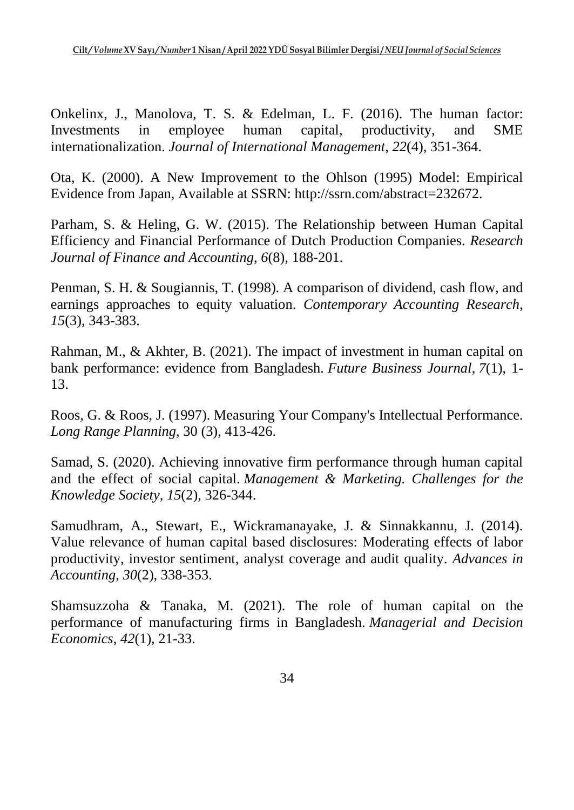Onkelinx, J., Manolova, T. S. & Edelman, L. F. (2016). The human factor: Investments in employee human capital, productivity, and SME internationalization. *Journal of International Management*, *22*(4), 351-364.

Ota, K. (2000). A New Improvement to the Ohlson (1995) Model: Empirical Evidence from Japan, Available at SSRN: http://ssrn.com/abstract=232672.

Parham, S. & Heling, G. W. (2015). The Relationship between Human Capital Efficiency and Financial Performance of Dutch Production Companies. *Research Journal of Finance and Accounting*, *6*(8), 188-201.

Penman, S. H. & Sougiannis, T. (1998). A comparison of dividend, cash flow, and earnings approaches to equity valuation. *Contemporary Accounting Research*, *15*(3), 343-383.

Rahman, M., & Akhter, B. (2021). The impact of investment in human capital on bank performance: evidence from Bangladesh. *Future Business Journal*, *7*(1), 1- 13.

Roos, G. & Roos, J. (1997). Measuring Your Company's Intellectual Performance. *Long Range Planning*, 30 (3), 413-426.

Samad, S. (2020). Achieving innovative firm performance through human capital and the effect of social capital. *Management & Marketing. Challenges for the Knowledge Society*, *15*(2), 326-344.

Samudhram, A., Stewart, E., Wickramanayake, J. & Sinnakkannu, J. (2014). Value relevance of human capital based disclosures: Moderating effects of labor productivity, investor sentiment, analyst coverage and audit quality. *Advances in Accounting*, *30*(2), 338-353.

Shamsuzzoha & Tanaka, M. (2021). The role of human capital on the performance of manufacturing firms in Bangladesh. *Managerial and Decision Economics*, *42*(1), 21-33.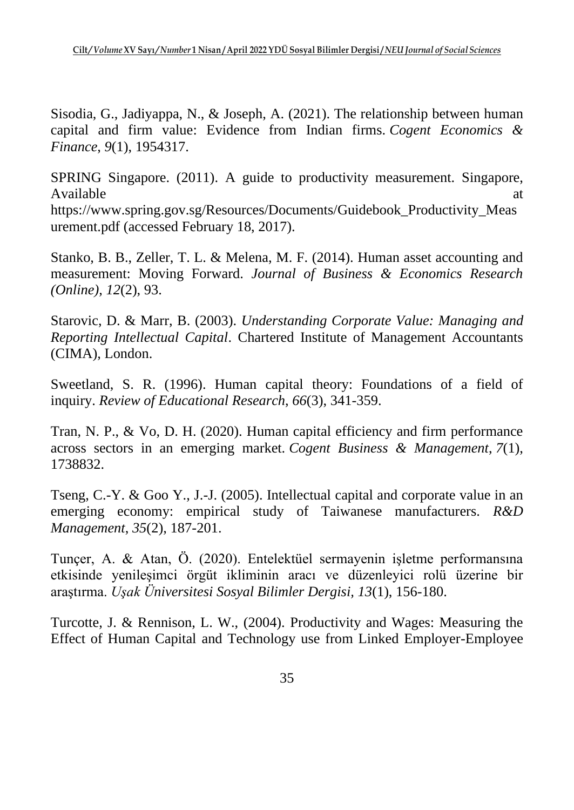Sisodia, G., Jadiyappa, N., & Joseph, A. (2021). The relationship between human capital and firm value: Evidence from Indian firms. *Cogent Economics & Finance*, *9*(1), 1954317.

SPRING Singapore. (2011). A guide to productivity measurement. Singapore, Available at a state of  $\alpha$  at a state of  $\alpha$  at a state of  $\alpha$  at a state of  $\alpha$  at a state of  $\alpha$  at a state of  $\alpha$  at a state of  $\alpha$  at a state of  $\alpha$  at a state of  $\alpha$  at a state of  $\alpha$  at a state of  $\alpha$  at https://www.spring.gov.sg/Resources/Documents/Guidebook\_Productivity\_Meas urement.pdf (accessed February 18, 2017).

Stanko, B. B., Zeller, T. L. & Melena, M. F. (2014). Human asset accounting and measurement: Moving Forward. *Journal of Business & Economics Research (Online)*, *12*(2), 93.

Starovic, D. & Marr, B. (2003). *Understanding Corporate Value: Managing and Reporting Intellectual Capital*. Chartered Institute of Management Accountants (CIMA), London.

Sweetland, S. R. (1996). Human capital theory: Foundations of a field of inquiry. *Review of Educational Research*, *66*(3), 341-359.

Tran, N. P., & Vo, D. H. (2020). Human capital efficiency and firm performance across sectors in an emerging market. *Cogent Business & Management*, *7*(1), 1738832.

Tseng, C.-Y. & Goo Y., J.-J. (2005). Intellectual capital and corporate value in an emerging economy: empirical study of Taiwanese manufacturers. *R&D Management*, *35*(2), 187-201.

Tunçer, A. & Atan, Ö. (2020). Entelektüel sermayenin işletme performansına etkisinde yenileşimci örgüt ikliminin aracı ve düzenleyici rolü üzerine bir araştırma. *Uşak Üniversitesi Sosyal Bilimler Dergisi, 13*(1), 156-180.

Turcotte, J. & Rennison, L. W., (2004). Productivity and Wages: Measuring the Effect of Human Capital and Technology use from Linked Employer-Employee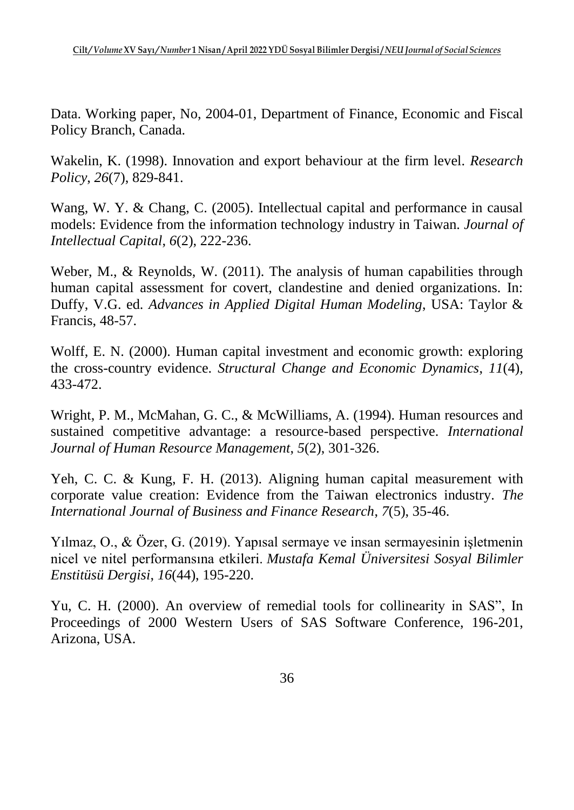Data. Working paper, No, 2004-01, Department of Finance, Economic and Fiscal Policy Branch, Canada.

Wakelin, K. (1998). Innovation and export behaviour at the firm level. *Research Policy*, *26*(7), 829-841.

Wang, W. Y. & Chang, C. (2005). Intellectual capital and performance in causal models: Evidence from the information technology industry in Taiwan. *Journal of Intellectual Capital*, *6*(2), 222-236.

Weber, M., & Reynolds, W. (2011). The analysis of human capabilities through human capital assessment for covert, clandestine and denied organizations. In: Duffy, V.G. ed. *Advances in Applied Digital Human Modeling*, USA: Taylor & Francis, 48-57.

Wolff, E. N. (2000). Human capital investment and economic growth: exploring the cross-country evidence. *Structural Change and Economic Dynamics*, *11*(4), 433-472.

Wright, P. M., McMahan, G. C., & McWilliams, A. (1994). Human resources and sustained competitive advantage: a resource-based perspective. *International Journal of Human Resource Management*, *5*(2), 301-326.

Yeh, C. C. & Kung, F. H. (2013). Aligning human capital measurement with corporate value creation: Evidence from the Taiwan electronics industry. *The International Journal of Business and Finance Research*, *7*(5), 35-46.

Yılmaz, O., & Özer, G. (2019). Yapısal sermaye ve insan sermayesinin işletmenin nicel ve nitel performansına etkileri. *Mustafa Kemal Üniversitesi Sosyal Bilimler Enstitüsü Dergisi*, *16*(44), 195-220.

Yu, C. H. (2000). An overview of remedial tools for collinearity in SAS", In Proceedings of 2000 Western Users of SAS Software Conference, 196-201, Arizona, USA.